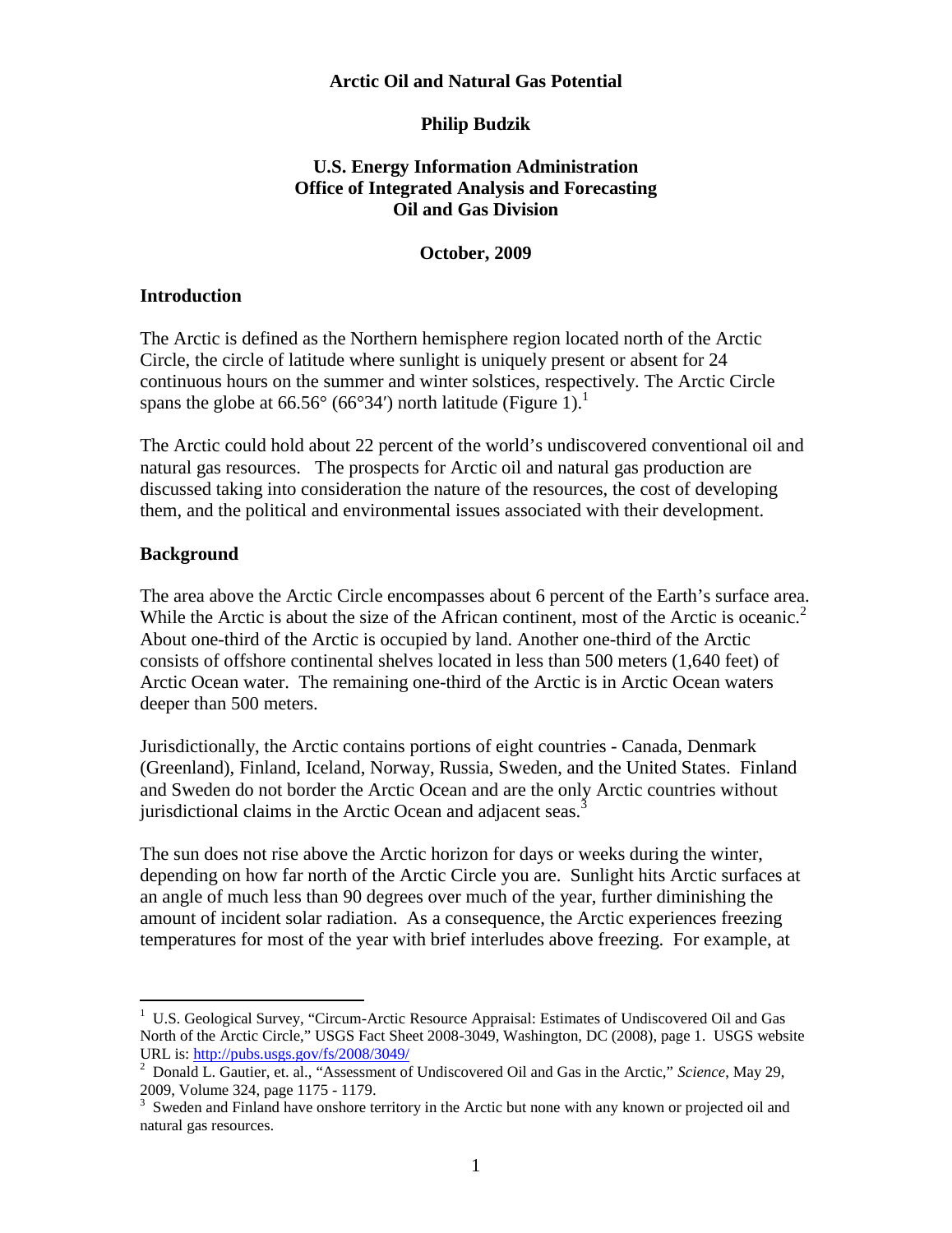## **Arctic Oil and Natural Gas Potential**

#### **Philip Budzik**

## **U.S. Energy Information Administration Office of Integrated Analysis and Forecasting Oil and Gas Division**

#### **October, 2009**

#### **Introduction**

The Arctic is defined as the Northern hemisphere region located north of the Arctic Circle, the circle of latitude where sunlight is uniquely present or absent for 24 continuous hours on the summer and winter solstices, respectively. The Arctic Circle spans the globe at 66.56 $^{\circ}$  (66 $^{\circ}$ 34) north latitude (Figure 1).<sup>1</sup>

The Arctic could hold about 22 percent of the world's undiscovered conventional oil and natural gas resources. The prospects for Arctic oil and natural gas production are discussed taking into consideration the nature of the resources, the cost of developing them, and the political and environmental issues associated with their development.

#### **Background**

The area above the Arctic Circle encompasses about 6 percent of the Earth's surface area. While the Arctic is about the size of the African continent, most of the Arctic is oceanic.<sup>2</sup> About one-third of the Arctic is occupied by land. Another one-third of the Arctic consists of offshore continental shelves located in less than 500 meters (1,640 feet) of Arctic Ocean water. The remaining one-third of the Arctic is in Arctic Ocean waters deeper than 500 meters.

Jurisdictionally, the Arctic contains portions of eight countries - Canada, Denmark (Greenland), Finland, Iceland, Norway, Russia, Sweden, and the United States. Finland and Sweden do not border the Arctic Ocean and are the only Arctic countries without jurisdictional claims in the Arctic Ocean and adjacent seas.<sup>3</sup>

The sun does not rise above the Arctic horizon for days or weeks during the winter, depending on how far north of the Arctic Circle you are. Sunlight hits Arctic surfaces at an angle of much less than 90 degrees over much of the year, further diminishing the amount of incident solar radiation. As a consequence, the Arctic experiences freezing temperatures for most of the year with brief interludes above freezing. For example, at

<sup>&</sup>lt;sup>1</sup> U.S. Geological Survey, "Circum-Arctic Resource Appraisal: Estimates of Undiscovered Oil and Gas North of the Arctic Circle," USGS Fact Sheet 2008-3049, Washington, DC (2008), page 1. USGS website URL is: <http://pubs.usgs.gov/fs/2008/3049/>

<sup>2</sup> Donald L. Gautier, et. al., "Assessment of Undiscovered Oil and Gas in the Arctic," *Science*, May 29, 2009, Volume 324, page 1175 - 1179.

<sup>&</sup>lt;sup>3</sup> Sweden and Finland have onshore territory in the Arctic but none with any known or projected oil and natural gas resources.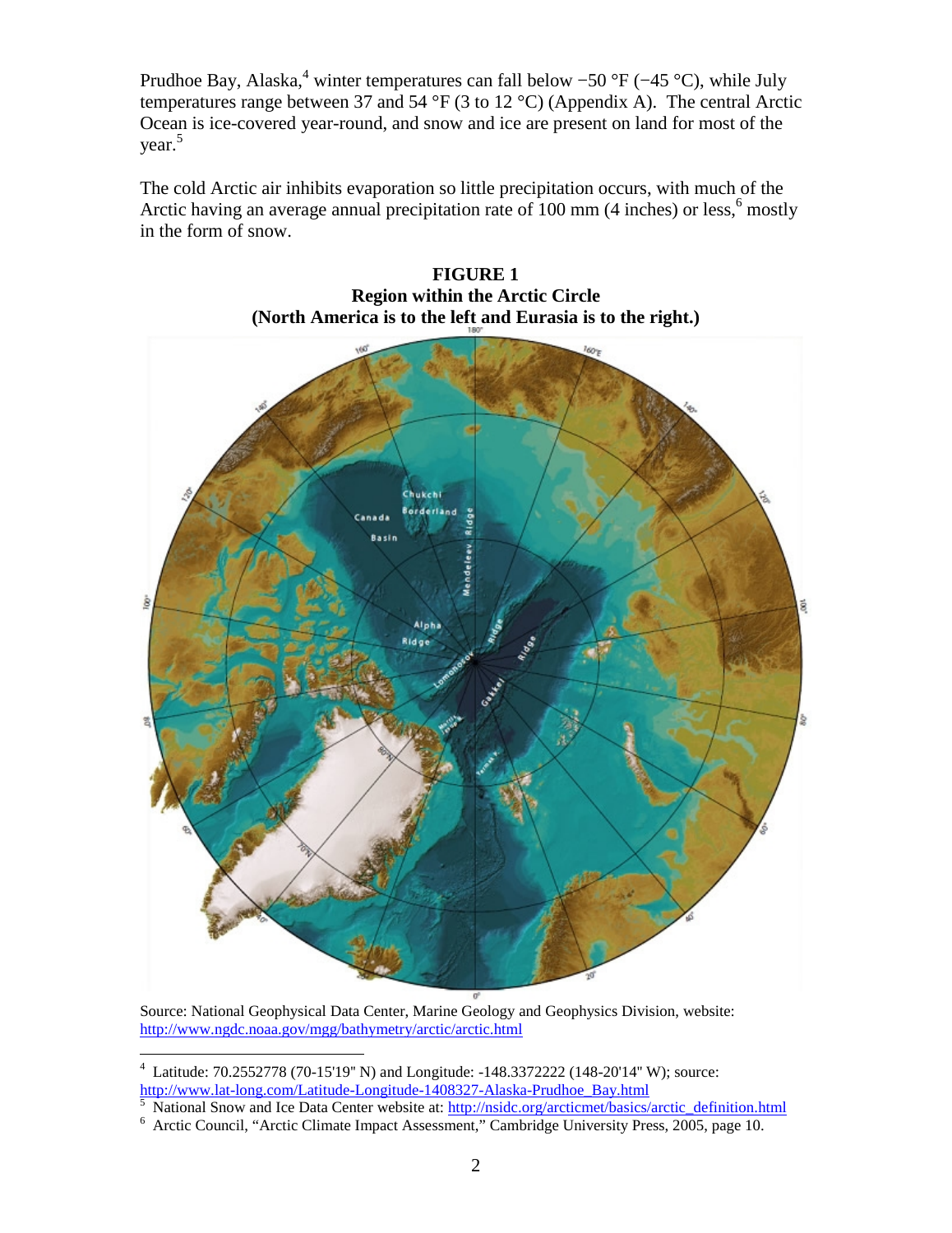Prudhoe Bay, Alaska,<sup>4</sup> winter temperatures can fall below –50 °F (–45 °C), while July temperatures range between 37 and 54 °F (3 to 12 °C) (Appendix A). The central Arctic Ocean is ice-covered year-round, and snow and ice are present on land for most of the year.<sup>5</sup>

The cold Arctic air inhibits evaporation so little precipitation occurs, with much of the Arctic having an average annual precipitation rate of 100 mm (4 inches) or less,<sup>6</sup> mostly in the form of snow.



**FIGURE 1 Region within the Arctic Circle (North America is to the left and Eurasia is to the right.)**

Source: National Geophysical Data Center, Marine Geology and Geophysics Division, website: <http://www.ngdc.noaa.gov/mgg/bathymetry/arctic/arctic.html>

5 National Snow and Ice Data Center website at: [http://nsidc.org/arcticmet/basics/arctic\\_definition.html](http://nsidc.org/arcticmet/basics/arctic_definition.html)

<sup>4</sup> Latitude: 70.2552778 (70-15'19'' N) and Longitude: -148.3372222 (148-20'14'' W); source: [http://www.lat-long.com/Latitude-Longitude-1408327-Alaska-Prudhoe\\_Bay.html](http://www.lat-long.com/Latitude-Longitude-1408327-Alaska-Prudhoe_Bay.html)

<sup>&</sup>lt;sup>6</sup> Arctic Council, "Arctic Climate Impact Assessment," Cambridge University Press, 2005, page 10.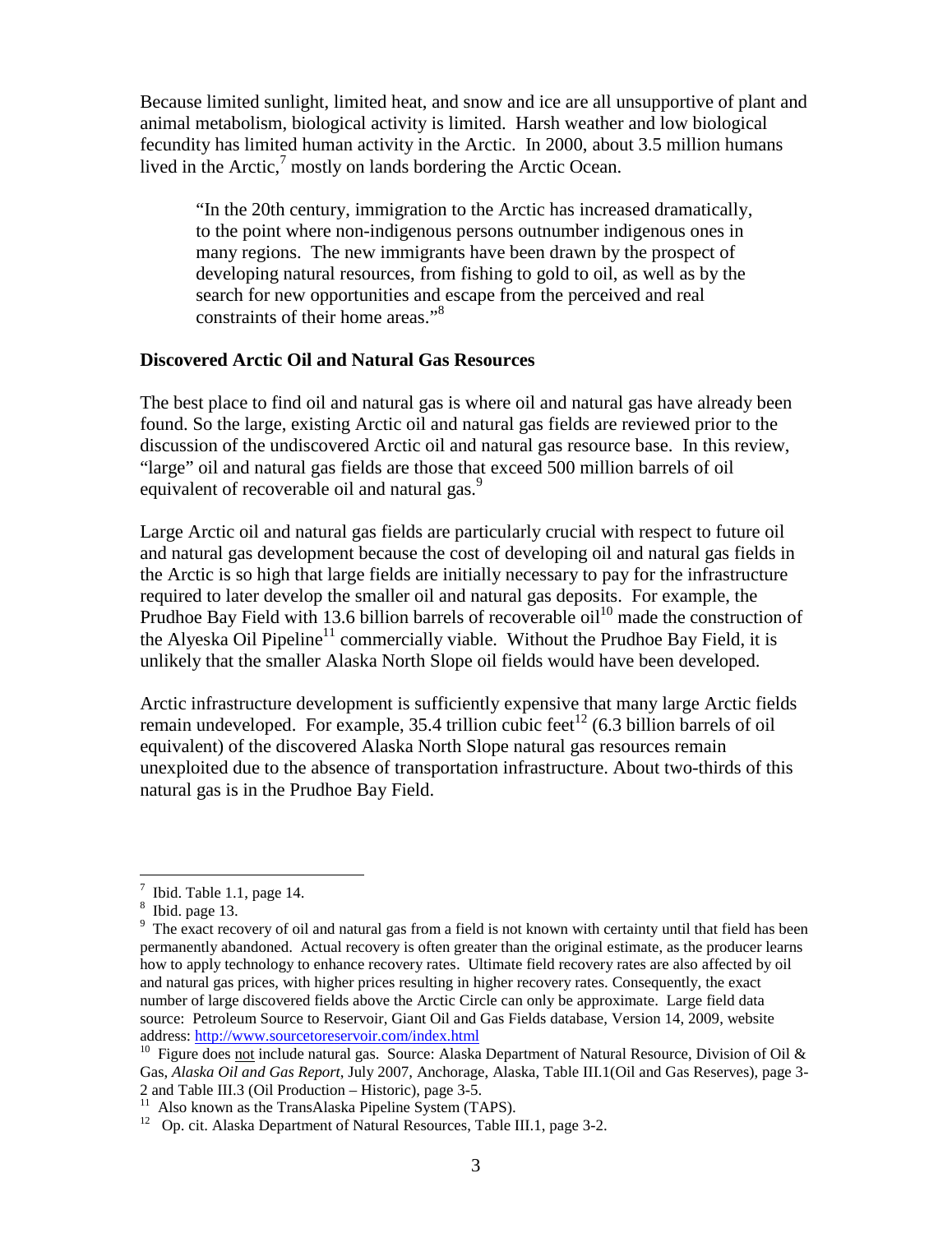Because limited sunlight, limited heat, and snow and ice are all unsupportive of plant and animal metabolism, biological activity is limited. Harsh weather and low biological fecundity has limited human activity in the Arctic. In 2000, about 3.5 million humans lived in the Arctic, $\frac{7}{1}$  mostly on lands bordering the Arctic Ocean.

"In the 20th century, immigration to the Arctic has increased dramatically, to the point where non-indigenous persons outnumber indigenous ones in many regions. The new immigrants have been drawn by the prospect of developing natural resources, from fishing to gold to oil, as well as by the search for new opportunities and escape from the perceived and real constraints of their home areas."<sup>8</sup>

### **Discovered Arctic Oil and Natural Gas Resources**

The best place to find oil and natural gas is where oil and natural gas have already been found. So the large, existing Arctic oil and natural gas fields are reviewed prior to the discussion of the undiscovered Arctic oil and natural gas resource base. In this review, "large" oil and natural gas fields are those that exceed 500 million barrels of oil equivalent of recoverable oil and natural gas.<sup>9</sup>

Large Arctic oil and natural gas fields are particularly crucial with respect to future oil and natural gas development because the cost of developing oil and natural gas fields in the Arctic is so high that large fields are initially necessary to pay for the infrastructure required to later develop the smaller oil and natural gas deposits. For example, the Prudhoe Bay Field with 13.6 billion barrels of recoverable oil<sup>10</sup> made the construction of the Alyeska Oil Pipeline<sup>11</sup> commercially viable. Without the Prudhoe Bay Field, it is unlikely that the smaller Alaska North Slope oil fields would have been developed.

Arctic infrastructure development is sufficiently expensive that many large Arctic fields remain undeveloped. For example, 35.4 trillion cubic feet<sup>12</sup> (6.3 billion barrels of oil equivalent) of the discovered Alaska North Slope natural gas resources remain unexploited due to the absence of transportation infrastructure. About two-thirds of this natural gas is in the Prudhoe Bay Field.

 $7$  Ibid. Table 1.1, page 14.

<sup>8</sup> Ibid. page 13.

<sup>&</sup>lt;sup>9</sup> The exact recovery of oil and natural gas from a field is not known with certainty until that field has been permanently abandoned. Actual recovery is often greater than the original estimate, as the producer learns how to apply technology to enhance recovery rates. Ultimate field recovery rates are also affected by oil and natural gas prices, with higher prices resulting in higher recovery rates. Consequently, the exact number of large discovered fields above the Arctic Circle can only be approximate. Large field data source: Petroleum Source to Reservoir, Giant Oil and Gas Fields database, Version 14, 2009, website address: <http://www.sourcetoreservoir.com/index.html>

<sup>&</sup>lt;sup>10</sup> Figure does not include natural gas. Source: Alaska Department of Natural Resource, Division of Oil & Gas, *Alaska Oil and Gas Report*, July 2007, Anchorage, Alaska, Table III.1(Oil and Gas Reserves), page 3- 2 and Table III.3 (Oil Production – Historic), page 3-5.

<sup>&</sup>lt;sup>11</sup> Also known as the TransAlaska Pipeline System (TAPS).

 $12$  Op. cit. Alaska Department of Natural Resources, Table III.1, page 3-2.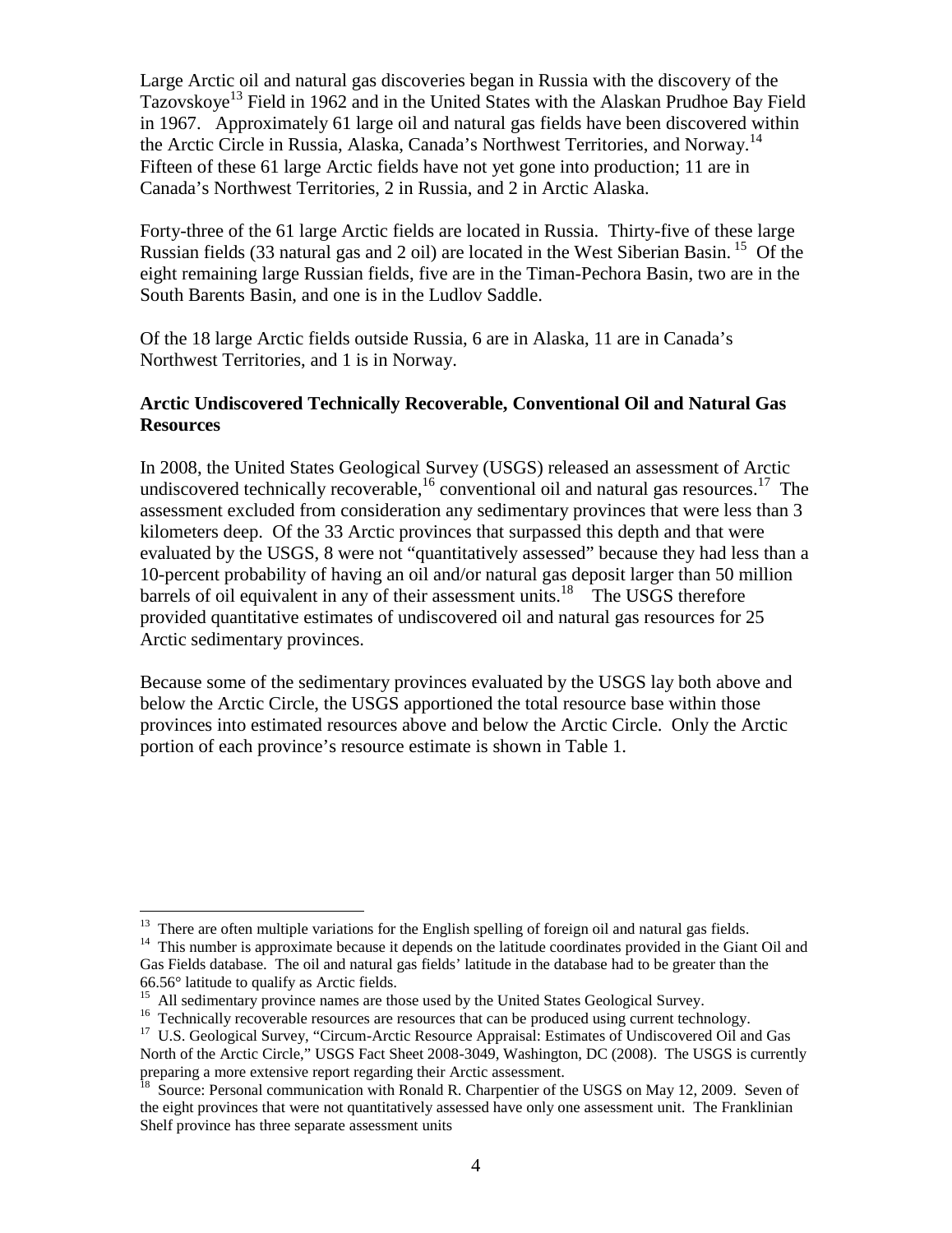Large Arctic oil and natural gas discoveries began in Russia with the discovery of the Tazovskoye<sup>13</sup> Field in 1962 and in the United States with the Alaskan Prudhoe Bay Field in 1967. Approximately 61 large oil and natural gas fields have been discovered within the Arctic Circle in Russia, Alaska, Canada's Northwest Territories, and Norway.<sup>14</sup> Fifteen of these 61 large Arctic fields have not yet gone into production; 11 are in Canada's Northwest Territories, 2 in Russia, and 2 in Arctic Alaska.

Forty-three of the 61 large Arctic fields are located in Russia. Thirty-five of these large Russian fields (33 natural gas and 2 oil) are located in the West Siberian Basin. <sup>15</sup> Of the eight remaining large Russian fields, five are in the Timan-Pechora Basin, two are in the South Barents Basin, and one is in the Ludlov Saddle.

Of the 18 large Arctic fields outside Russia, 6 are in Alaska, 11 are in Canada's Northwest Territories, and 1 is in Norway.

# **Arctic Undiscovered Technically Recoverable, Conventional Oil and Natural Gas Resources**

In 2008, the United States Geological Survey (USGS) released an assessment of Arctic undiscovered technically recoverable,  $^{16}$  conventional oil and natural gas resources.<sup>17</sup> The assessment excluded from consideration any sedimentary provinces that were less than 3 kilometers deep. Of the 33 Arctic provinces that surpassed this depth and that were evaluated by the USGS, 8 were not "quantitatively assessed" because they had less than a 10-percent probability of having an oil and/or natural gas deposit larger than 50 million barrels of oil equivalent in any of their assessment units.<sup>18</sup> The USGS therefore provided quantitative estimates of undiscovered oil and natural gas resources for 25 Arctic sedimentary provinces.

Because some of the sedimentary provinces evaluated by the USGS lay both above and below the Arctic Circle, the USGS apportioned the total resource base within those provinces into estimated resources above and below the Arctic Circle. Only the Arctic portion of each province's resource estimate is shown in Table 1.

 $13$  There are often multiple variations for the English spelling of foreign oil and natural gas fields.

<sup>&</sup>lt;sup>14</sup> This number is approximate because it depends on the latitude coordinates provided in the Giant Oil and Gas Fields database. The oil and natural gas fields' latitude in the database had to be greater than the 66.56° latitude to qualify as Arctic fields.

<sup>&</sup>lt;sup>15</sup> All sedimentary province names are those used by the United States Geological Survey.

<sup>&</sup>lt;sup>16</sup> Technically recoverable resources are resources that can be produced using current technology.

<sup>&</sup>lt;sup>17</sup> U.S. Geological Survey, "Circum-Arctic Resource Appraisal: Estimates of Undiscovered Oil and Gas North of the Arctic Circle," USGS Fact Sheet 2008-3049, Washington, DC (2008). The USGS is currently preparing a more extensive report regarding their Arctic assessment.

<sup>&</sup>lt;sup>18</sup> Source: Personal communication with Ronald R. Charpentier of the USGS on May 12, 2009. Seven of the eight provinces that were not quantitatively assessed have only one assessment unit. The Franklinian Shelf province has three separate assessment units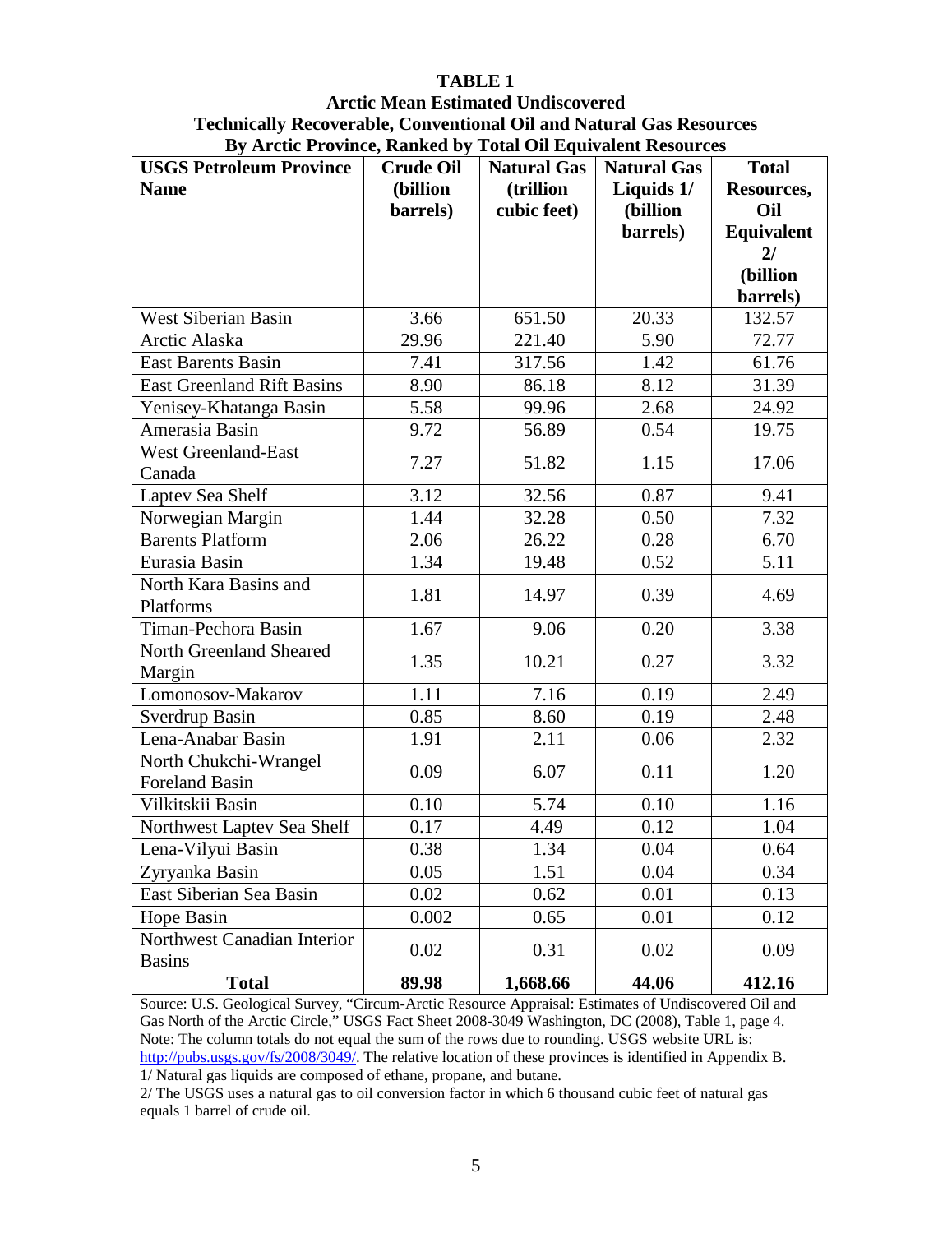# **TABLE 1**

# **Arctic Mean Estimated Undiscovered Technically Recoverable, Conventional Oil and Natural Gas Resources By Arctic Province, Ranked by Total Oil Equivalent Resources**

| $\mathbf{v}_j$ meath from $\mathbf{v}_j$ ranned $\mathbf{v}_j$<br><b>USGS Petroleum Province</b> | <b>Crude Oil</b> | Total On Equivalent Resources<br><b>Natural Gas</b> | <b>Natural Gas</b> | <b>Total</b> |
|--------------------------------------------------------------------------------------------------|------------------|-----------------------------------------------------|--------------------|--------------|
| <b>Name</b>                                                                                      | (billion         | (trillion                                           | Liquids 1/         | Resources,   |
|                                                                                                  | barrels)         | cubic feet)                                         | (billion           | Oil          |
|                                                                                                  |                  |                                                     | barrels)           | Equivalent   |
|                                                                                                  |                  |                                                     |                    | 2l           |
|                                                                                                  |                  |                                                     |                    | (billion     |
|                                                                                                  |                  |                                                     |                    | barrels)     |
| <b>West Siberian Basin</b>                                                                       | 3.66             | 651.50                                              | 20.33              | 132.57       |
| Arctic Alaska                                                                                    | 29.96            | 221.40                                              | 5.90               | 72.77        |
| East Barents Basin                                                                               | 7.41             | 317.56                                              | 1.42               | 61.76        |
| <b>East Greenland Rift Basins</b>                                                                | 8.90             | 86.18                                               | 8.12               | 31.39        |
| Yenisey-Khatanga Basin                                                                           | 5.58             | 99.96                                               | 2.68               | 24.92        |
| Amerasia Basin                                                                                   | 9.72             | 56.89                                               | 0.54               | 19.75        |
| <b>West Greenland-East</b>                                                                       | 7.27             | 51.82                                               | 1.15               | 17.06        |
| Canada                                                                                           |                  |                                                     |                    |              |
| Laptev Sea Shelf                                                                                 | 3.12             | 32.56                                               | 0.87               | 9.41         |
| Norwegian Margin                                                                                 | 1.44             | 32.28                                               | 0.50               | 7.32         |
| <b>Barents Platform</b>                                                                          | 2.06             | 26.22                                               | 0.28               | 6.70         |
| Eurasia Basin                                                                                    | 1.34             | 19.48                                               | 0.52               | 5.11         |
| North Kara Basins and                                                                            | 1.81             | 14.97                                               | 0.39               | 4.69         |
| Platforms                                                                                        |                  |                                                     |                    |              |
| Timan-Pechora Basin                                                                              | 1.67             | 9.06                                                | 0.20               | 3.38         |
| North Greenland Sheared                                                                          | 1.35             | 10.21                                               | 0.27               | 3.32         |
| Margin                                                                                           |                  |                                                     |                    |              |
| Lomonosov-Makarov                                                                                | 1.11             | 7.16                                                | 0.19               | 2.49         |
| Sverdrup Basin                                                                                   | 0.85             | 8.60                                                | 0.19               | 2.48         |
| Lena-Anabar Basin                                                                                | 1.91             | 2.11                                                | 0.06               | 2.32         |
| North Chukchi-Wrangel                                                                            | 0.09             | 6.07                                                | 0.11               | 1.20         |
| Foreland Basin                                                                                   |                  |                                                     |                    |              |
| Vilkitskii Basin                                                                                 | 0.10             | 5.74                                                | 0.10               | 1.16         |
| Northwest Laptev Sea Shelf                                                                       | 0.17             | 4.49                                                | 0.12               | 1.04         |
| Lena-Vilyui Basin                                                                                | 0.38             | 1.34                                                | 0.04               | 0.64         |
| Zyryanka Basin                                                                                   | 0.05             | 1.51                                                | 0.04               | 0.34         |
| East Siberian Sea Basin                                                                          | 0.02             | 0.62                                                | 0.01               | 0.13         |
| Hope Basin                                                                                       | 0.002            | 0.65                                                | 0.01               | 0.12         |
| Northwest Canadian Interior                                                                      |                  |                                                     |                    |              |
| <b>Basins</b>                                                                                    | 0.02             | 0.31                                                | 0.02               | 0.09         |
| <b>Total</b>                                                                                     | 89.98            | 1,668.66                                            | 44.06              | 412.16       |

Source: U.S. Geological Survey, "Circum-Arctic Resource Appraisal: Estimates of Undiscovered Oil and Gas North of the Arctic Circle," USGS Fact Sheet 2008-3049 Washington, DC (2008), Table 1, page 4. Note: The column totals do not equal the sum of the rows due to rounding. USGS website URL is: [http://pubs.usgs.gov/fs/2008/3049/.](http://pubs.usgs.gov/fs/2008/3049/) The relative location of these provinces is identified in Appendix B. 1/ Natural gas liquids are composed of ethane, propane, and butane.

2/ The USGS uses a natural gas to oil conversion factor in which 6 thousand cubic feet of natural gas equals 1 barrel of crude oil.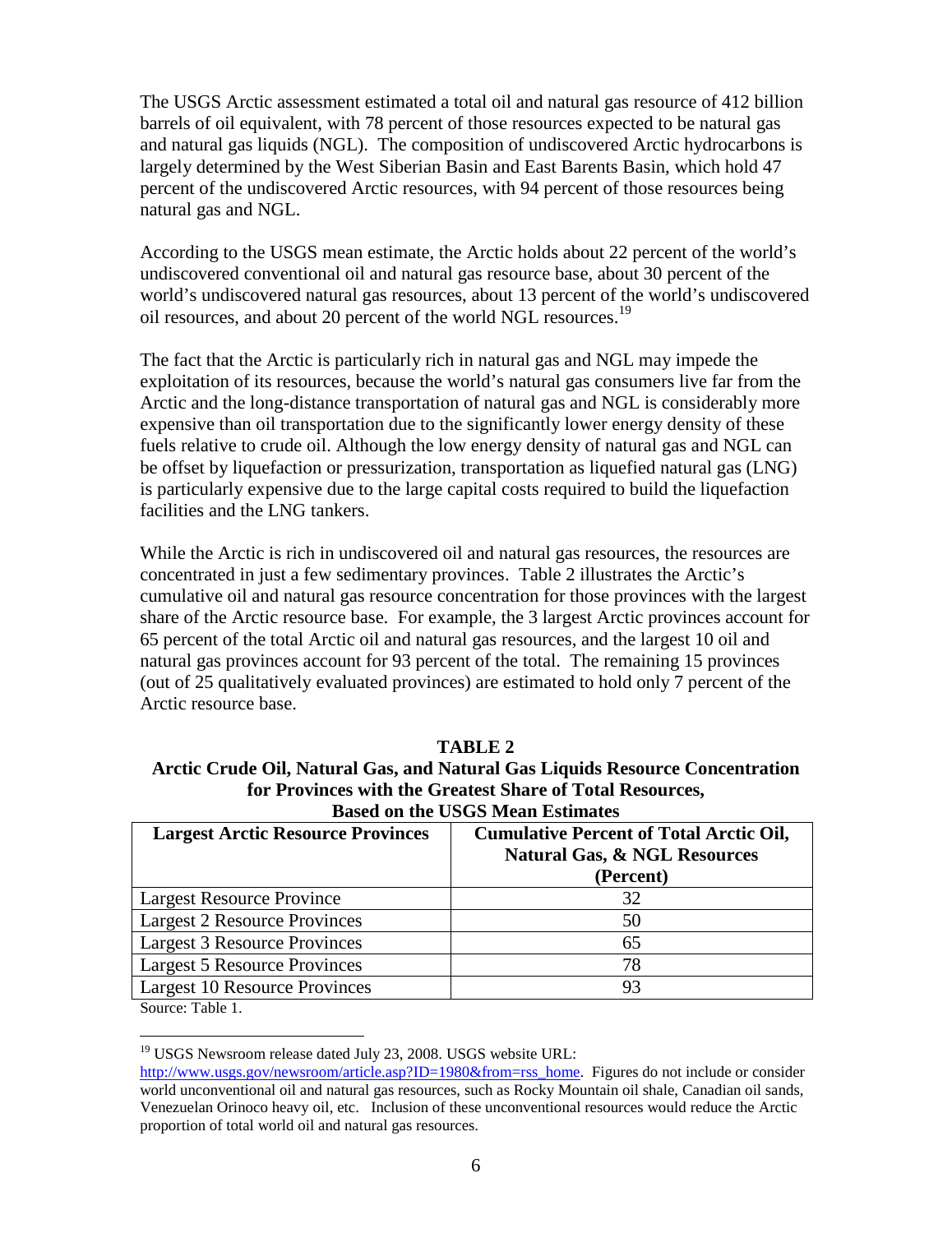The USGS Arctic assessment estimated a total oil and natural gas resource of 412 billion barrels of oil equivalent, with 78 percent of those resources expected to be natural gas and natural gas liquids (NGL). The composition of undiscovered Arctic hydrocarbons is largely determined by the West Siberian Basin and East Barents Basin, which hold 47 percent of the undiscovered Arctic resources, with 94 percent of those resources being natural gas and NGL.

According to the USGS mean estimate, the Arctic holds about 22 percent of the world's undiscovered conventional oil and natural gas resource base, about 30 percent of the world's undiscovered natural gas resources, about 13 percent of the world's undiscovered oil resources, and about 20 percent of the world NGL resources.<sup>19</sup>

The fact that the Arctic is particularly rich in natural gas and NGL may impede the exploitation of its resources, because the world's natural gas consumers live far from the Arctic and the long-distance transportation of natural gas and NGL is considerably more expensive than oil transportation due to the significantly lower energy density of these fuels relative to crude oil. Although the low energy density of natural gas and NGL can be offset by liquefaction or pressurization, transportation as liquefied natural gas (LNG) is particularly expensive due to the large capital costs required to build the liquefaction facilities and the LNG tankers.

While the Arctic is rich in undiscovered oil and natural gas resources, the resources are concentrated in just a few sedimentary provinces. Table 2 illustrates the Arctic's cumulative oil and natural gas resource concentration for those provinces with the largest share of the Arctic resource base. For example, the 3 largest Arctic provinces account for 65 percent of the total Arctic oil and natural gas resources, and the largest 10 oil and natural gas provinces account for 93 percent of the total. The remaining 15 provinces (out of 25 qualitatively evaluated provinces) are estimated to hold only 7 percent of the Arctic resource base.

| Arctic Crude Oil, Natural Gas, and Natural Gas Liquids Resource Concentration |                                                                                                                                  |  |  |  |
|-------------------------------------------------------------------------------|----------------------------------------------------------------------------------------------------------------------------------|--|--|--|
| for Provinces with the Greatest Share of Total Resources,                     |                                                                                                                                  |  |  |  |
| <b>Based on the USGS Mean Estimates</b>                                       |                                                                                                                                  |  |  |  |
|                                                                               | $\mathbf{r}$ . The set of $\mathbf{r}$ is the set of $\mathbf{r}$ is the $\mathbf{r}$ in $\mathbf{r}$ is the set of $\mathbf{r}$ |  |  |  |

**TABLE 2**

| <b>Largest Arctic Resource Provinces</b> | <b>Cumulative Percent of Total Arctic Oil,</b><br><b>Natural Gas, &amp; NGL Resources</b><br>(Percent) |
|------------------------------------------|--------------------------------------------------------------------------------------------------------|
| <b>Largest Resource Province</b>         | 32                                                                                                     |
| <b>Largest 2 Resource Provinces</b>      | 50                                                                                                     |
| Largest 3 Resource Provinces             | 65                                                                                                     |
| Largest 5 Resource Provinces             | 78                                                                                                     |
| Largest 10 Resource Provinces            | 93                                                                                                     |

Source: Table 1.

<sup>19</sup> USGS Newsroom release dated July 23, 2008. USGS website URL:

[http://www.usgs.gov/newsroom/article.asp?](http://www.usgs.gov/newsroom/article.asp)ID=1980&from=rss\_home. Figures do not include or consider world unconventional oil and natural gas resources, such as Rocky Mountain oil shale, Canadian oil sands, Venezuelan Orinoco heavy oil, etc. Inclusion of these unconventional resources would reduce the Arctic proportion of total world oil and natural gas resources.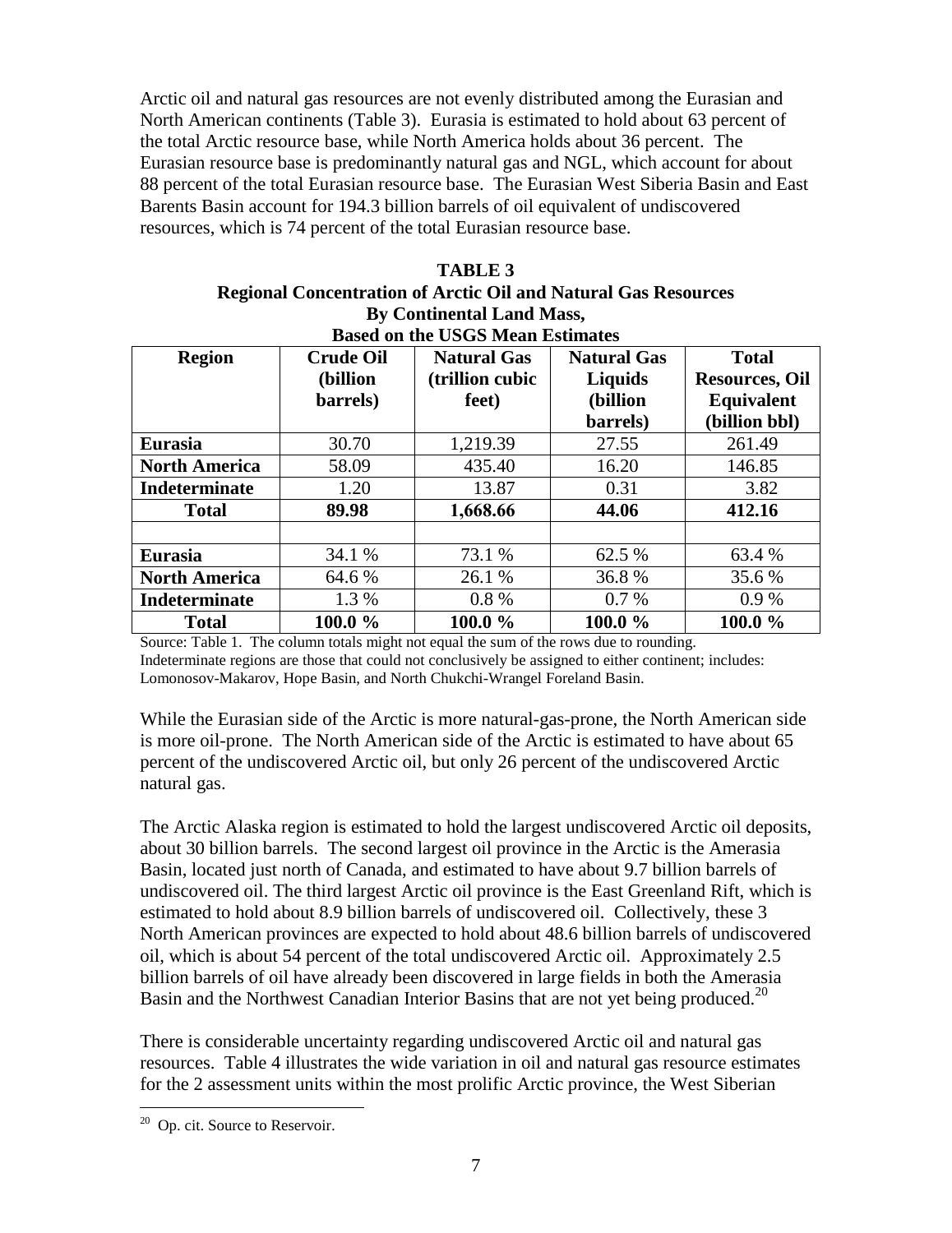Arctic oil and natural gas resources are not evenly distributed among the Eurasian and North American continents (Table 3). Eurasia is estimated to hold about 63 percent of the total Arctic resource base, while North America holds about 36 percent. The Eurasian resource base is predominantly natural gas and NGL, which account for about 88 percent of the total Eurasian resource base. The Eurasian West Siberia Basin and East Barents Basin account for 194.3 billion barrels of oil equivalent of undiscovered resources, which is 74 percent of the total Eurasian resource base.

| <b>TABLE 3</b>                                                        |  |  |  |  |
|-----------------------------------------------------------------------|--|--|--|--|
| <b>Regional Concentration of Arctic Oil and Natural Gas Resources</b> |  |  |  |  |
| <b>By Continental Land Mass,</b>                                      |  |  |  |  |
| Rased on the USCS Mean Estimates                                      |  |  |  |  |

| <b>Region</b>        | <b>Crude Oil</b> | <b>Natural Gas</b> | <b>Natural Gas</b> | <b>Total</b>          |
|----------------------|------------------|--------------------|--------------------|-----------------------|
|                      | (billion         | (trillion cubic    | Liquids            | <b>Resources, Oil</b> |
|                      | barrels)         | feet)              | (billion           | <b>Equivalent</b>     |
|                      |                  |                    | barrels)           | (billion bbl)         |
| <b>Eurasia</b>       | 30.70            | 1,219.39           | 27.55              | 261.49                |
| <b>North America</b> | 58.09            | 435.40             | 16.20              | 146.85                |
| <b>Indeterminate</b> | 1.20             | 13.87              | 0.31               | 3.82                  |
| <b>Total</b>         | 89.98            | 1,668.66           | 44.06              | 412.16                |
|                      |                  |                    |                    |                       |
| <b>Eurasia</b>       | 34.1 %           | 73.1 %             | 62.5 %             | 63.4 %                |
| <b>North America</b> | 64.6 %           | 26.1 %             | 36.8%              | 35.6 %                |
| Indeterminate        | 1.3 %            | 0.8%               | $0.7\%$            | $0.9\%$               |
| <b>Total</b>         | 100.0 %          | 100.0 %            | 100.0 %            | 100.0 %               |

Source: Table 1. The column totals might not equal the sum of the rows due to rounding. Indeterminate regions are those that could not conclusively be assigned to either continent; includes: Lomonosov-Makarov, Hope Basin, and North Chukchi-Wrangel Foreland Basin.

While the Eurasian side of the Arctic is more natural-gas-prone, the North American side is more oil-prone. The North American side of the Arctic is estimated to have about 65 percent of the undiscovered Arctic oil, but only 26 percent of the undiscovered Arctic natural gas.

The Arctic Alaska region is estimated to hold the largest undiscovered Arctic oil deposits, about 30 billion barrels. The second largest oil province in the Arctic is the Amerasia Basin, located just north of Canada, and estimated to have about 9.7 billion barrels of undiscovered oil. The third largest Arctic oil province is the East Greenland Rift, which is estimated to hold about 8.9 billion barrels of undiscovered oil. Collectively, these 3 North American provinces are expected to hold about 48.6 billion barrels of undiscovered oil, which is about 54 percent of the total undiscovered Arctic oil. Approximately 2.5 billion barrels of oil have already been discovered in large fields in both the Amerasia Basin and the Northwest Canadian Interior Basins that are not yet being produced.<sup>20</sup>

There is considerable uncertainty regarding undiscovered Arctic oil and natural gas resources. Table 4 illustrates the wide variation in oil and natural gas resource estimates for the 2 assessment units within the most prolific Arctic province, the West Siberian

<sup>&</sup>lt;sup>20</sup> Op. cit. Source to Reservoir.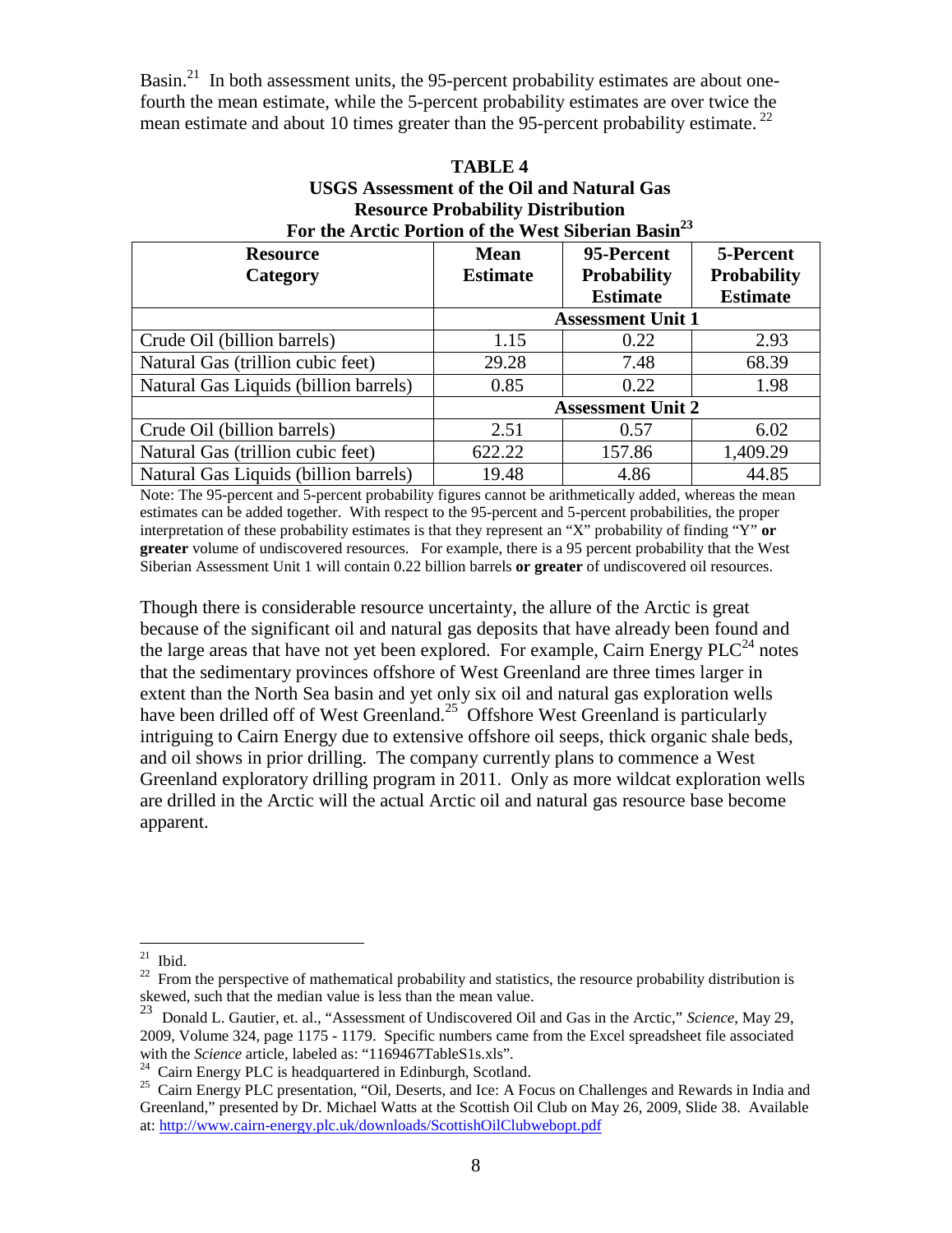Basin.<sup>21</sup> In both assessment units, the 95-percent probability estimates are about onefourth the mean estimate, while the 5-percent probability estimates are over twice the mean estimate and about 10 times greater than the 95-percent probability estimate.  $^{22}$ 

| For the Arctic Portion of the West Siberian Basin <sup>23</sup> |                          |                    |                    |  |  |
|-----------------------------------------------------------------|--------------------------|--------------------|--------------------|--|--|
| <b>Resource</b>                                                 | <b>Mean</b>              | 95-Percent         | 5-Percent          |  |  |
| Category                                                        | <b>Estimate</b>          | <b>Probability</b> | <b>Probability</b> |  |  |
|                                                                 |                          | <b>Estimate</b>    | <b>Estimate</b>    |  |  |
|                                                                 | <b>Assessment Unit 1</b> |                    |                    |  |  |
| Crude Oil (billion barrels)                                     | 1.15                     | 0.22               | 2.93               |  |  |
| Natural Gas (trillion cubic feet)                               | 29.28                    | 7.48               | 68.39              |  |  |
| Natural Gas Liquids (billion barrels)                           | 0.85                     | 0.22               | 1.98               |  |  |
|                                                                 | <b>Assessment Unit 2</b> |                    |                    |  |  |
| Crude Oil (billion barrels)                                     | 2.51                     | 0.57               | 6.02               |  |  |
| Natural Gas (trillion cubic feet)                               | 622.22                   | 157.86             | 1,409.29           |  |  |
| Natural Gas Liquids (billion barrels)                           | 19.48                    | 4.86               | 44.85              |  |  |

# **TABLE 4 USGS Assessment of the Oil and Natural Gas Resource Probability Distribution**

Note: The 95-percent and 5-percent probability figures cannot be arithmetically added, whereas the mean estimates can be added together. With respect to the 95-percent and 5-percent probabilities, the proper interpretation of these probability estimates is that they represent an "X" probability of finding "Y" **or greater** volume of undiscovered resources. For example, there is a 95 percent probability that the West Siberian Assessment Unit 1 will contain 0.22 billion barrels **or greater** of undiscovered oil resources.

Though there is considerable resource uncertainty, the allure of the Arctic is great because of the significant oil and natural gas deposits that have already been found and the large areas that have not yet been explored. For example, Cairn Energy  $PLC<sup>24</sup>$  notes that the sedimentary provinces offshore of West Greenland are three times larger in extent than the North Sea basin and yet only six oil and natural gas exploration wells have been drilled off of West Greenland.<sup>25</sup> Offshore West Greenland is particularly intriguing to Cairn Energy due to extensive offshore oil seeps, thick organic shale beds, and oil shows in prior drilling. The company currently plans to commence a West Greenland exploratory drilling program in 2011. Only as more wildcat exploration wells are drilled in the Arctic will the actual Arctic oil and natural gas resource base become apparent.

 $21$  Ibid.

<sup>&</sup>lt;sup>22</sup> From the perspective of mathematical probability and statistics, the resource probability distribution is skewed, such that the median value is less than the mean value.<br><sup>23</sup> Donald L. Cantine is less than the mean value.

<sup>23</sup> Donald L. Gautier, et. al., "Assessment of Undiscovered Oil and Gas in the Arctic," *Science*, May 29, 2009, Volume 324, page 1175 - 1179. Specific numbers came from the Excel spreadsheet file associated with the *Science* article, labeled as: "1169467TableS1s.xls".

<sup>&</sup>lt;sup>24</sup> Cairn Energy PLC is headquartered in Edinburgh, Scotland.

<sup>&</sup>lt;sup>25</sup> Cairn Energy PLC presentation, "Oil, Deserts, and Ice: A Focus on Challenges and Rewards in India and Greenland," presented by Dr. Michael Watts at the Scottish Oil Club on May 26, 2009, Slide 38. Available at: http://www.cairn-energy.plc.uk/downloads/ScottishOilClubwebopt.pdf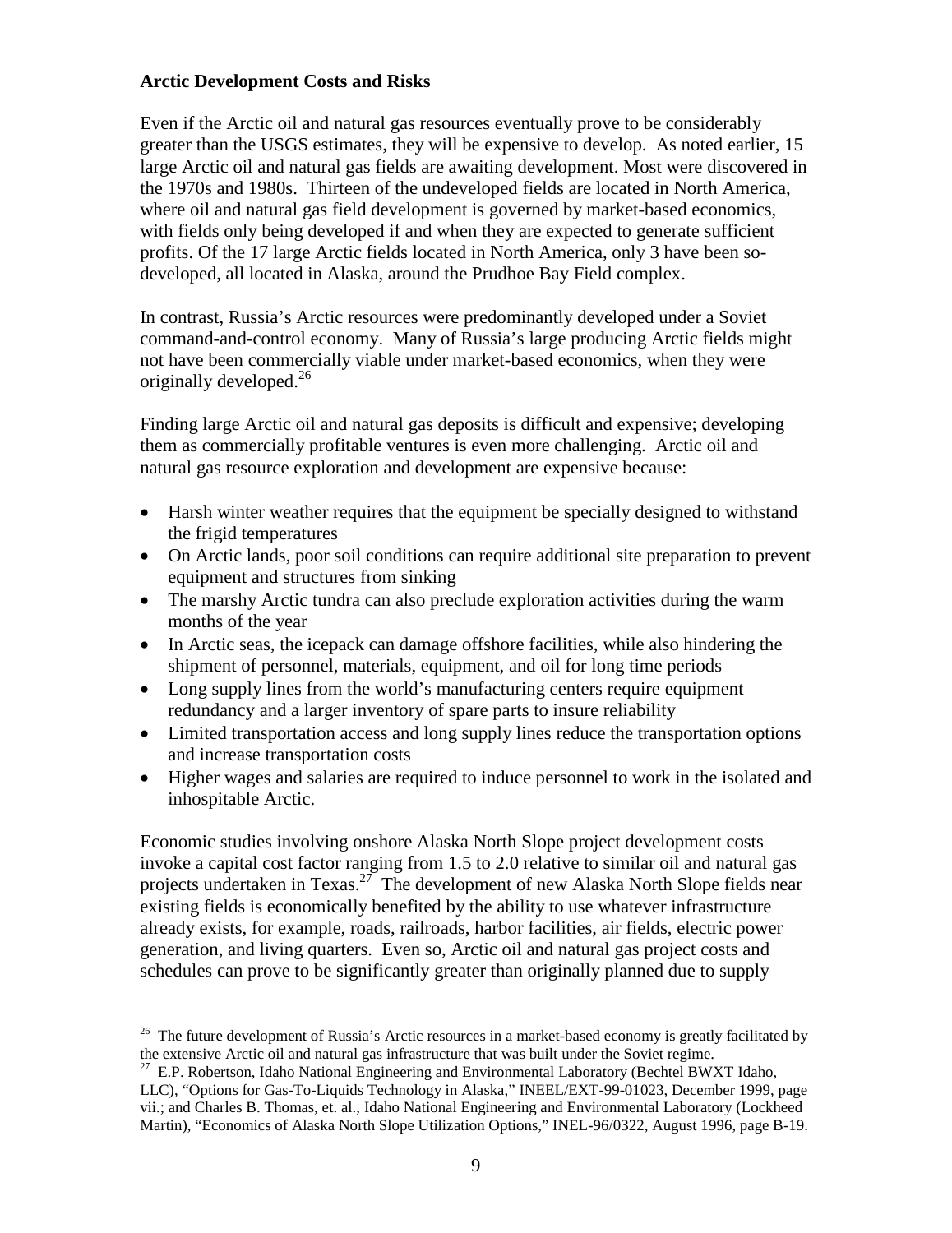# **Arctic Development Costs and Risks**

Even if the Arctic oil and natural gas resources eventually prove to be considerably greater than the USGS estimates, they will be expensive to develop. As noted earlier, 15 large Arctic oil and natural gas fields are awaiting development. Most were discovered in the 1970s and 1980s. Thirteen of the undeveloped fields are located in North America, where oil and natural gas field development is governed by market-based economics, with fields only being developed if and when they are expected to generate sufficient profits. Of the 17 large Arctic fields located in North America, only 3 have been sodeveloped, all located in Alaska, around the Prudhoe Bay Field complex.

In contrast, Russia's Arctic resources were predominantly developed under a Soviet command-and-control economy. Many of Russia's large producing Arctic fields might not have been commercially viable under market-based economics, when they were originally developed. 26

Finding large Arctic oil and natural gas deposits is difficult and expensive; developing them as commercially profitable ventures is even more challenging. Arctic oil and natural gas resource exploration and development are expensive because:

- Harsh winter weather requires that the equipment be specially designed to withstand the frigid temperatures
- On Arctic lands, poor soil conditions can require additional site preparation to prevent equipment and structures from sinking
- The marshy Arctic tundra can also preclude exploration activities during the warm months of the year
- In Arctic seas, the icepack can damage offshore facilities, while also hindering the shipment of personnel, materials, equipment, and oil for long time periods
- Long supply lines from the world's manufacturing centers require equipment redundancy and a larger inventory of spare parts to insure reliability
- Limited transportation access and long supply lines reduce the transportation options and increase transportation costs
- Higher wages and salaries are required to induce personnel to work in the isolated and inhospitable Arctic.

Economic studies involving onshore Alaska North Slope project development costs invoke a capital cost factor ranging from 1.5 to 2.0 relative to similar oil and natural gas projects undertaken in Texas.<sup>27</sup> The development of new Alaska North Slope fields near existing fields is economically benefited by the ability to use whatever infrastructure already exists, for example, roads, railroads, harbor facilities, air fields, electric power generation, and living quarters. Even so, Arctic oil and natural gas project costs and schedules can prove to be significantly greater than originally planned due to supply

<sup>&</sup>lt;sup>26</sup> The future development of Russia's Arctic resources in a market-based economy is greatly facilitated by the extensive Arctic oil and natural gas infrastructure that was built under the Soviet regime.

 $^{27}$  E.P. Robertson, Idaho National Engineering and Environmental Laboratory (Bechtel BWXT Idaho, LLC), "Options for Gas-To-Liquids Technology in Alaska," INEEL/EXT-99-01023, December 1999, page vii.; and Charles B. Thomas, et. al., Idaho National Engineering and Environmental Laboratory (Lockheed M[artin\), "Economics of Alaska North Slope Utilization Options," INEL](http://www.cairn-energy.plc.uk/downloads/ScottishOilClubwebopt.pdf)-96/0322, August 1996, page B-19.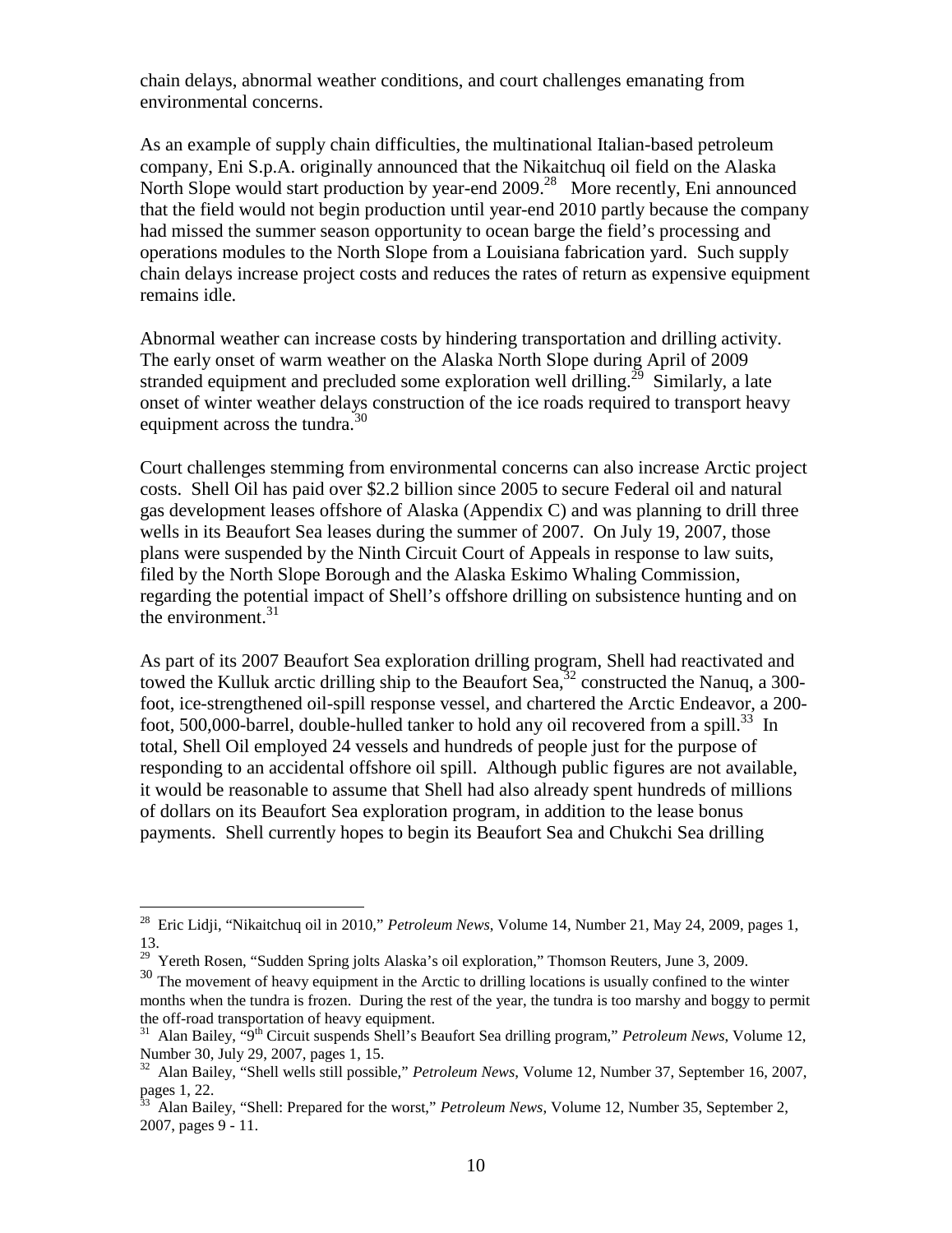chain delays, abnormal weather conditions, and court challenges emanating from environmental concerns.

As an example of supply chain difficulties, the multinational Italian-based petroleum company, Eni S.p.A. originally announced that the Nikaitchuq oil field on the Alaska North Slope would start production by year-end 2009<sup>28</sup> More recently, Eni announced that the field would not begin production until year-end 2010 partly because the company had missed the summer season opportunity to ocean barge the field's processing and operations modules to the North Slope from a Louisiana fabrication yard. Such supply chain delays increase project costs and reduces the rates of return as expensive equipment remains idle.

Abnormal weather can increase costs by hindering transportation and drilling activity. The early onset of warm weather on the Alaska North Slope during April of 2009 stranded equipment and precluded some exploration well drilling.<sup>29</sup> Similarly, a late onset of winter weather delays construction of the ice roads required to transport heavy equipment across the tundra.<sup>30</sup>

Court challenges stemming from environmental concerns can also increase Arctic project costs. Shell Oil has paid over \$2.2 billion since 2005 to secure Federal oil and natural gas development leases offshore of Alaska (Appendix C) and was planning to drill three wells in its Beaufort Sea leases during the summer of 2007. On July 19, 2007, those plans were suspended by the Ninth Circuit Court of Appeals in response to law suits, filed by the North Slope Borough and the Alaska Eskimo Whaling Commission, regarding the potential impact of Shell's offshore drilling on subsistence hunting and on the environment. $31$ 

As part of its 2007 Beaufort Sea exploration drilling program, Shell had reactivated and towed the Kulluk arctic drilling ship to the Beaufort Sea,  $32$  constructed the Nanuq, a 300foot, ice-strengthened oil-spill response vessel, and chartered the Arctic Endeavor, a 200 foot, 500,000-barrel, double-hulled tanker to hold any oil recovered from a spill.<sup>33</sup> In total, Shell Oil employed 24 vessels and hundreds of people just for the purpose of responding to an accidental offshore oil spill. Although public figures are not available, it would be reasonable to assume that Shell had also already spent hundreds of millions of dollars on its Beaufort Sea exploration program, in addition to the lease bonus payments. Shell currently hopes to begin its Beaufort Sea and Chukchi Sea drilling

<sup>28</sup> Eric Lidji, "Nikaitchuq oil in 2010," *Petroleum News*, Volume 14, Number 21, May 24, 2009, pages 1, 13.

<sup>&</sup>lt;sup>29</sup> Yereth Rosen, "Sudden Spring jolts Alaska's oil exploration," Thomson Reuters, June 3, 2009.

<sup>&</sup>lt;sup>30</sup> The movement of heavy equipment in the Arctic to drilling locations is usually confined to the winter months when the tundra is frozen. During the rest of the year, the tundra is too marshy and boggy to permit the off-road transportation of heavy equipment.

<sup>&</sup>lt;sup>31</sup> Alan Bailey, "9<sup>th</sup> Circuit suspends Shell's Beaufort Sea drilling program," *Petroleum News*, Volume 12, Number 30, July 29, 2007, pages 1, 15.

<sup>32</sup> Alan Bailey, "Shell wells still possible," *Petroleum News*, Volume 12, Number 37, September 16, 2007, pages 1, 22.

<sup>33</sup> Alan Bailey, "Shell: Prepared for the worst," *Petroleum News*, Volume 12, Number 35, September 2, 2007, pages 9 - 11.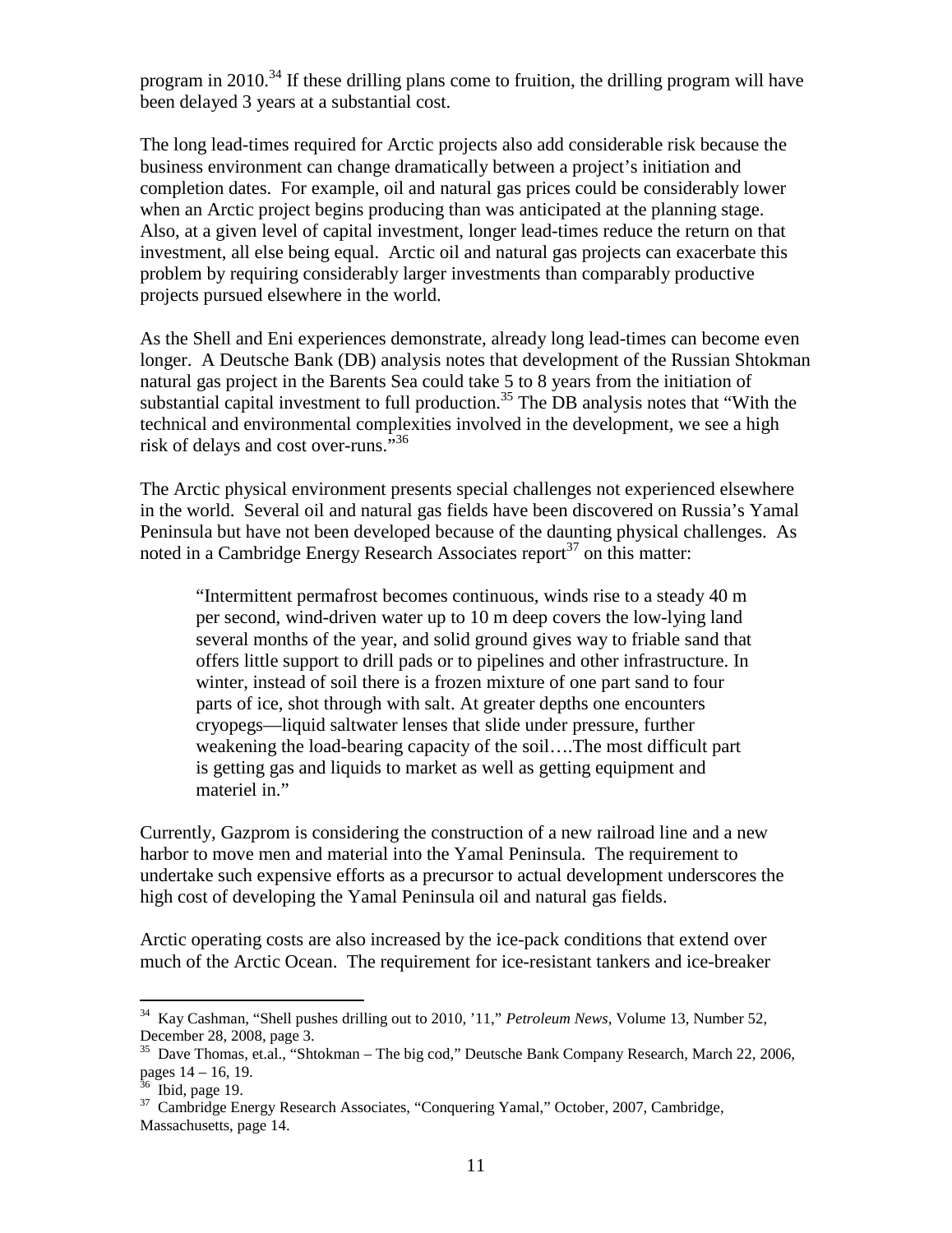program in 2010.<sup>34</sup> If these drilling plans come to fruition, the drilling program will have been delayed 3 years at a substantial cost.

The long lead-times required for Arctic projects also add considerable risk because the business environment can change dramatically between a project's initiation and completion dates. For example, oil and natural gas prices could be considerably lower when an Arctic project begins producing than was anticipated at the planning stage. Also, at a given level of capital investment, longer lead-times reduce the return on that investment, all else being equal. Arctic oil and natural gas projects can exacerbate this problem by requiring considerably larger investments than comparably productive projects pursued elsewhere in the world.

As the Shell and Eni experiences demonstrate, already long lead-times can become even longer. A Deutsche Bank (DB) analysis notes that development of the Russian Shtokman natural gas project in the Barents Sea could take 5 to 8 years from the initiation of substantial capital investment to full production.<sup>35</sup> The DB analysis notes that "With the technical and environmental complexities involved in the development, we see a high risk of delays and cost over-runs."<sup>36</sup>

The Arctic physical environment presents special challenges not experienced elsewhere in the world. Several oil and natural gas fields have been discovered on Russia's Yamal Peninsula but have not been developed because of the daunting physical challenges. As noted in a Cambridge Energy Research Associates report<sup>37</sup> on this matter:

"Intermittent permafrost becomes continuous, winds rise to a steady 40 m per second, wind-driven water up to 10 m deep covers the low-lying land several months of the year, and solid ground gives way to friable sand that offers little support to drill pads or to pipelines and other infrastructure. In winter, instead of soil there is a frozen mixture of one part sand to four parts of ice, shot through with salt. At greater depths one encounters cryopegs—liquid saltwater lenses that slide under pressure, further weakening the load-bearing capacity of the soil….The most difficult part is getting gas and liquids to market as well as getting equipment and materiel in."

Currently, Gazprom is considering the construction of a new railroad line and a new harbor to move men and material into the Yamal Peninsula. The requirement to undertake such expensive efforts as a precursor to actual development underscores the high cost of developing the Yamal Peninsula oil and natural gas fields.

Arctic operating costs are also increased by the ice-pack conditions that extend over much of the Arctic Ocean. The requirement for ice-resistant tankers and ice-breaker

<sup>34</sup> Kay Cashman, "Shell pushes drilling out to 2010, '11," *Petroleum News*, Volume 13, Number 52, December 28, 2008, page 3.

<sup>35</sup> Dave Thomas, et.al., "Shtokman – The big cod," Deutsche Bank Company Research, March 22, 2006, pages 14 – 16, 19.

 $36$  Ibid, page 19.

<sup>&</sup>lt;sup>37</sup> Cambridge Energy Research Associates, "Conquering Yamal," October, 2007, Cambridge, Massachusetts, page 14.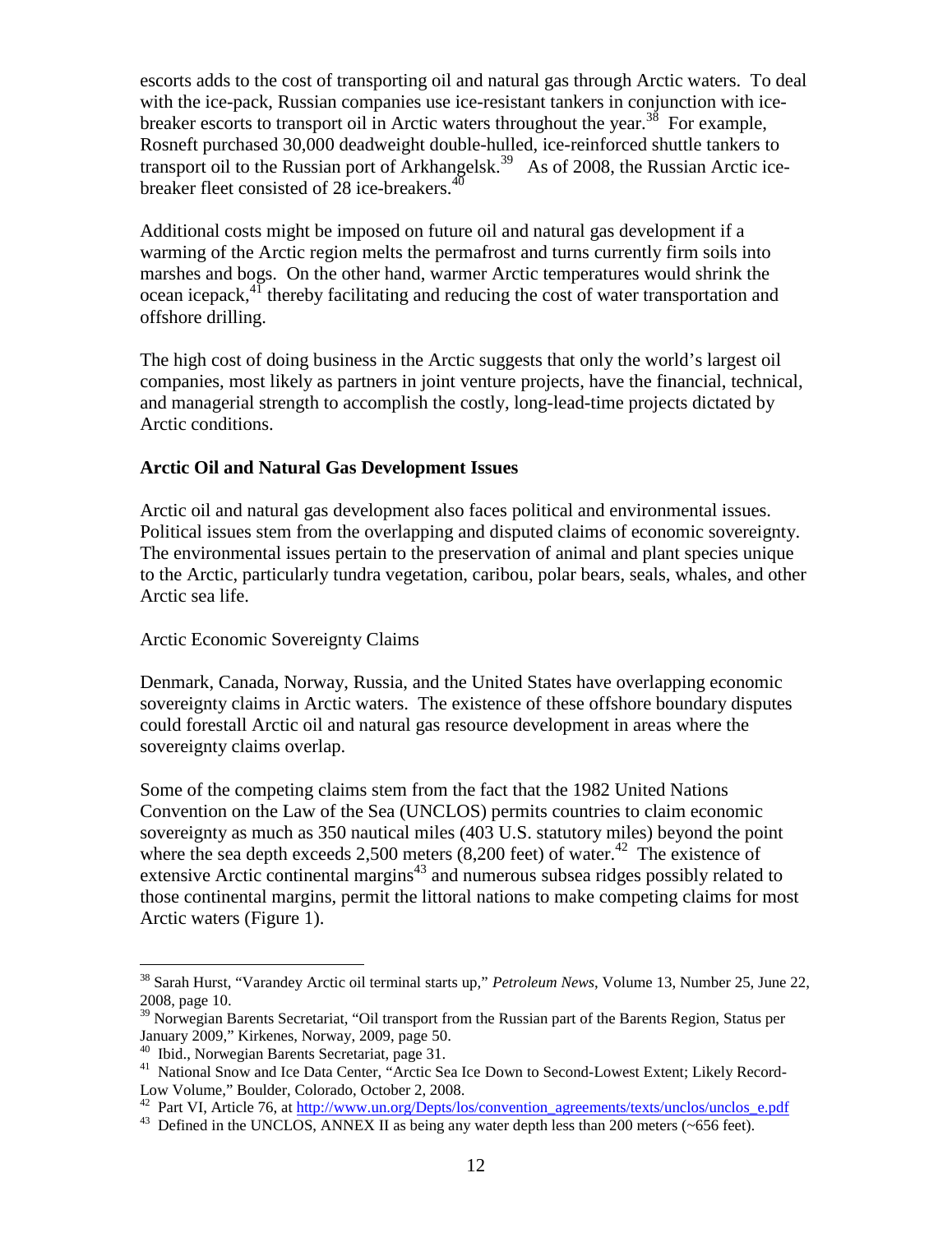escorts adds to the cost of transporting oil and natural gas through Arctic waters. To deal with the ice-pack. Russian companies use ice-resistant tankers in conjunction with icebreaker escorts to transport oil in Arctic waters throughout the year.<sup>38</sup> For example, Rosneft purchased 30,000 deadweight double-hulled, ice-reinforced shuttle tankers to transport oil to the Russian port of Arkhangelsk.<sup>39</sup> As of 2008, the Russian Arctic icebreaker fleet consisted of  $28$  ice-breakers.<sup>40</sup>

Additional costs might be imposed on future oil and natural gas development if a warming of the Arctic region melts the permafrost and turns currently firm soils into marshes and bogs. On the other hand, warmer Arctic temperatures would shrink the ocean icepack,<sup>41</sup> thereby facilitating and reducing the cost of water transportation and offshore drilling.

The high cost of doing business in the Arctic suggests that only the world's largest oil companies, most likely as partners in joint venture projects, have the financial, technical, and managerial strength to accomplish the costly, long-lead-time projects dictated by Arctic conditions.

## **Arctic Oil and Natural Gas Development Issues**

Arctic oil and natural gas development also faces political and environmental issues. Political issues stem from the overlapping and disputed claims of economic sovereignty. The environmental issues pertain to the preservation of animal and plant species unique to the Arctic, particularly tundra vegetation, caribou, polar bears, seals, whales, and other Arctic sea life.

### Arctic Economic Sovereignty Claims

Denmark, Canada, Norway, Russia, and the United States have overlapping economic sovereignty claims in Arctic waters. The existence of these offshore boundary disputes could forestall Arctic oil and natural gas resource development in areas where the sovereignty claims overlap.

Some of the competing claims stem from the fact that the 1982 United Nations Convention on the Law of the Sea (UNCLOS) permits countries to claim economic sovereignty as much as 350 nautical miles (403 U.S. statutory miles) beyond the point where the sea depth exceeds 2,500 meters  $(8,200 \text{ feet})$  of water.<sup>42</sup> The existence of extensive Arctic continental margins $43$  and numerous subsea ridges possibly related to those continental margins, permit the littoral nations to make competing claims for most Arctic waters (Figure 1).

<sup>38</sup> Sarah Hurst, "Varandey Arctic oil terminal starts up," *Petroleum News*, Volume 13, Number 25, June 22, 2008, page 10.

<sup>&</sup>lt;sup>39</sup> Norwegian Barents Secretariat, "Oil transport from the Russian part of the Barents Region, Status per January 2009," Kirkenes, Norway, 2009, page 50.

<sup>&</sup>lt;sup>40</sup> Ibid., Norwegian Barents Secretariat, page 31.

<sup>&</sup>lt;sup>41</sup> National Snow and Ice Data Center, "Arctic Sea Ice Down to Second-Lowest Extent; Likely Record-Low Volume," Boulder, Colorado, October 2, 2008.

<sup>&</sup>lt;sup>42</sup> Part VI, Article 76, at [http://www.un.org/Depts/los/convention\\_agreements/texts/unclos/unclos\\_e.pdf](http://www.un.org/Depts/los/convention_agreements/texts/unclos/unclos_e.pdf)

<sup>&</sup>lt;sup>43</sup> Defined in the UNCLOS, ANNEX II as being any water depth less than 200 meters (~656 feet).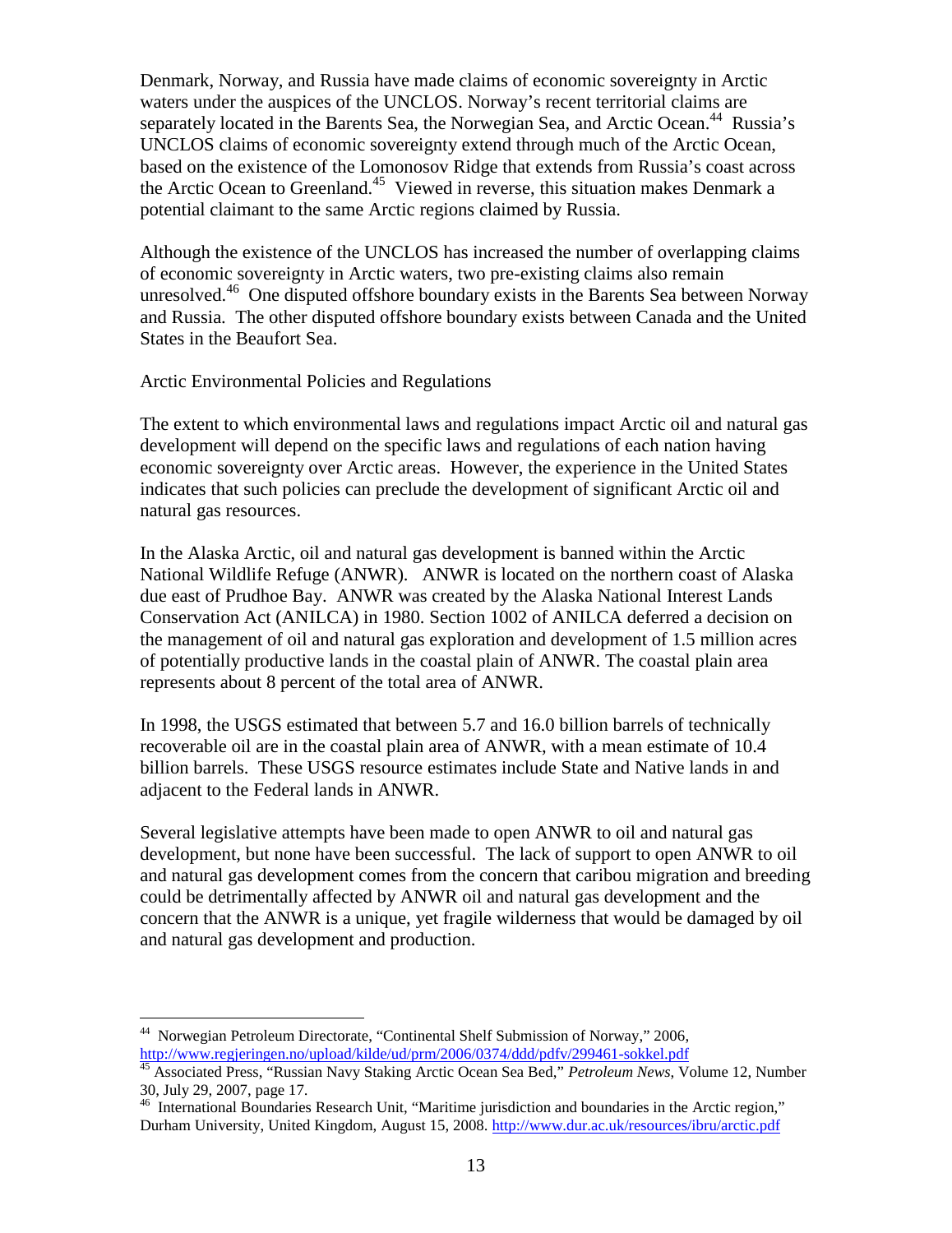Denmark, Norway, and Russia have made claims of economic sovereignty in Arctic waters under the auspices of the UNCLOS. Norway's recent territorial claims are separately located in the Barents Sea, the Norwegian Sea, and Arctic Ocean.<sup>44</sup> Russia's UNCLOS claims of economic sovereignty extend through much of the Arctic Ocean, based on the existence of the Lomonosov Ridge that extends from Russia's coast across the Arctic Ocean to Greenland.<sup>45</sup> Viewed in reverse, this situation makes Denmark a potential claimant to the same Arctic regions claimed by Russia.

Although the existence of the UNCLOS has increased the number of overlapping claims of economic sovereignty in Arctic waters, two pre-existing claims also remain unresolved.<sup>46</sup> One disputed offshore boundary exists in the Barents Sea between Norway and Russia. The other disputed offshore boundary exists between Canada and the United States in the Beaufort Sea.

Arctic Environmental Policies and Regulations

The extent to which environmental laws and regulations impact Arctic oil and natural gas development will depend on the specific laws and regulations of each nation having economic sovereignty over Arctic areas. However, the experience in the United States indicates that such policies can preclude the development of significant Arctic oil and natural gas resources.

In the Alaska Arctic, oil and natural gas development is banned within the Arctic National Wildlife Refuge (ANWR). ANWR is located on the northern coast of Alaska due east of Prudhoe Bay. ANWR was created by the Alaska National Interest Lands Conservation Act (ANILCA) in 1980. Section 1002 of ANILCA deferred a decision on the management of oil and natural gas exploration and development of 1.5 million acres of potentially productive lands in the coastal plain of ANWR. The coastal plain area represents about 8 percent of the total area of ANWR.

In 1998, the USGS estimated that between 5.7 and 16.0 billion barrels of technically recoverable oil are in the coastal plain area of ANWR, with a mean estimate of 10.4 billion barrels. These USGS resource estimates include State and Native lands in and adjacent to the Federal lands in ANWR.

Several legislative attempts have been made to open ANWR to oil and natural gas development, but none have been successful. The lack of support to open ANWR to oil and natural gas development comes from the concern that caribou migration and breeding could be detrimentally affected by ANWR oil and natural gas development and the concern that the ANWR is a unique, yet fragile wilderness that would be damaged by oil and natural gas development and production.

<sup>44</sup> Norwegian Petroleum Directorate, "Continental Shelf Submission of Norway," 2006, <http://www.regjeringen.no/upload/kilde/ud/prm/2006/0374/ddd/pdfv/299461-sokkel.pdf>

<sup>45</sup> Associated Press, "Russian Navy Staking Arctic Ocean Sea Bed," *Petroleum News*, Volume 12, Number 30, July 29, 2007, page 17.

<sup>&</sup>lt;sup>46</sup> International Boundaries Research Unit, "Maritime jurisdiction and boundaries in the Arctic region," Durham University, United Kingdom, August 15, 2008. http://www.dur.ac.uk/resources/ibru/arctic.pdf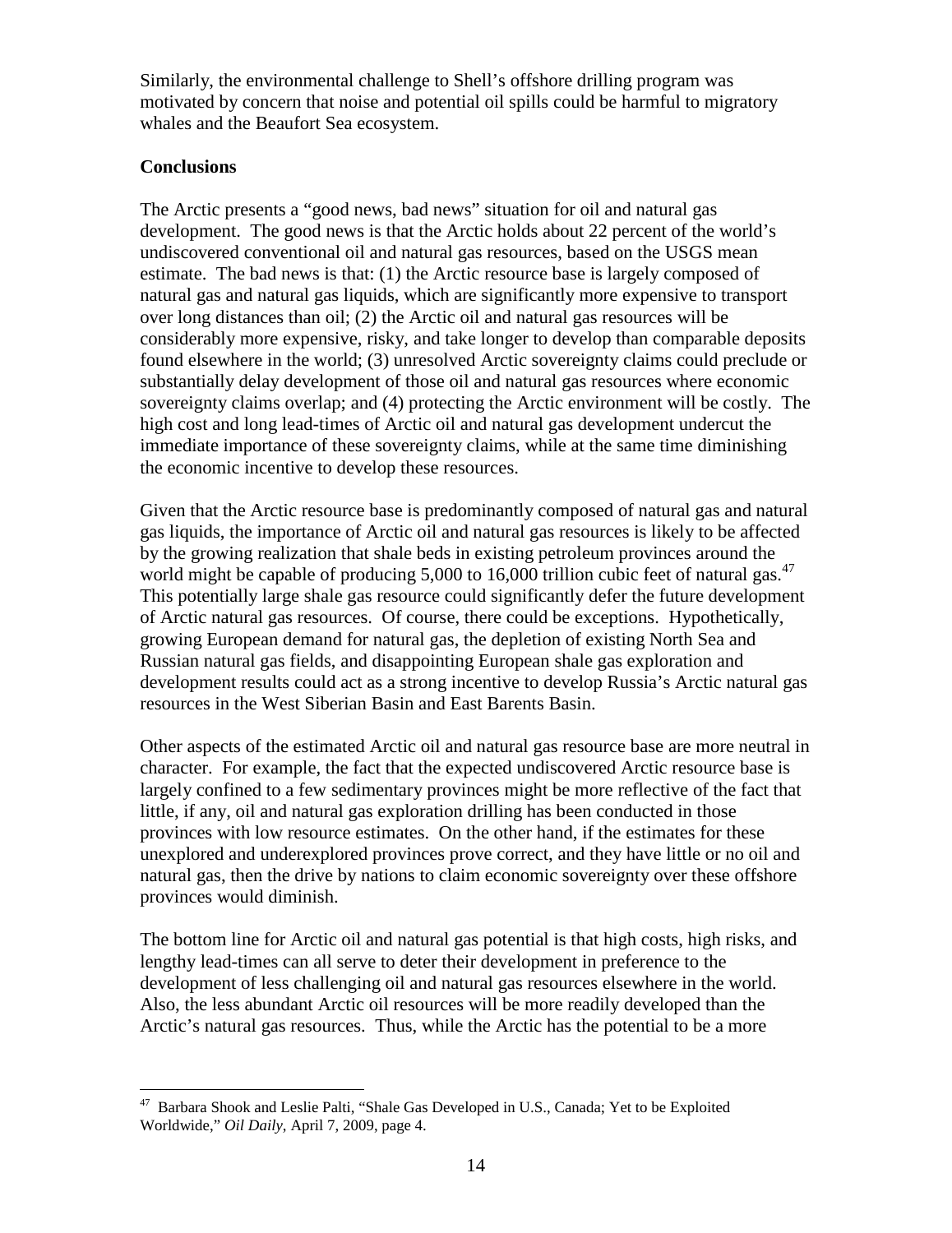Similarly, the environmental challenge to Shell's offshore drilling program was motivated by concern that noise and potential oil spills could be harmful to migratory whales and the Beaufort Sea ecosystem.

# **Conclusions**

The Arctic presents a "good news, bad news" situation for oil and natural gas development. The good news is that the Arctic holds about 22 percent of the world's undiscovered conventional oil and natural gas resources, based on the USGS mean estimate. The bad news is that: (1) the Arctic resource base is largely composed of natural gas and natural gas liquids, which are significantly more expensive to transport over long distances than oil; (2) the Arctic oil and natural gas resources will be considerably more expensive, risky, and take longer to develop than comparable deposits found elsewhere in the world; (3) unresolved Arctic sovereignty claims could preclude or substantially delay development of those oil and natural gas resources where economic sovereignty claims overlap; and (4) protecting the Arctic environment will be costly. The high cost and long lead-times of Arctic oil and natural gas development undercut the immediate importance of these sovereignty claims, while at the same time diminishing the economic incentive to develop these resources.

Given that the Arctic resource base is predominantly composed of natural gas and natural gas liquids, the importance of Arctic oil and natural gas resources is likely to be affected by the growing realization that shale beds in existing petroleum provinces around the world might be capable of producing 5,000 to 16,000 trillion cubic feet of natural gas.<sup>47</sup> This potentially large shale gas resource could significantly defer the future development of Arctic natural gas resources. Of course, there could be exceptions. Hypothetically, growing European demand for natural gas, the depletion of existing North Sea and Russian natural gas fields, and disappointing European shale gas exploration and development results could act as a strong incentive to develop Russia's Arctic natural gas resources in the West Siberian Basin and East Barents Basin.

Other aspects of the estimated Arctic oil and natural gas resource base are more neutral in character. For example, the fact that the expected undiscovered Arctic resource base is largely confined to a few sedimentary provinces might be more reflective of the fact that little, if any, oil and natural gas exploration drilling has been conducted in those provinces with low resource estimates. On the other hand, if the estimates for these unexplored and underexplored provinces prove correct, and they have little or no oil and natural gas, then the drive by nations to claim economic sovereignty over these offshore provinces would diminish.

The bottom line for Arctic oil and natural gas potential is that high costs, high risks, and lengthy lead-times can all serve to deter their development in preference to the development of less challenging oil and natural gas resources elsewhere in the world. Also, the less abundant Arctic oil resources will be more readily developed than the Arctic's natural gas resources. Thus, while the Arctic has the potential to be a more

<sup>47</sup> Barbara Shook and Leslie Palti, "Shale Gas Developed in U.S., Canada; Yet to be Exploited Worldwide," *Oil Daily*, April 7, 2009, page 4.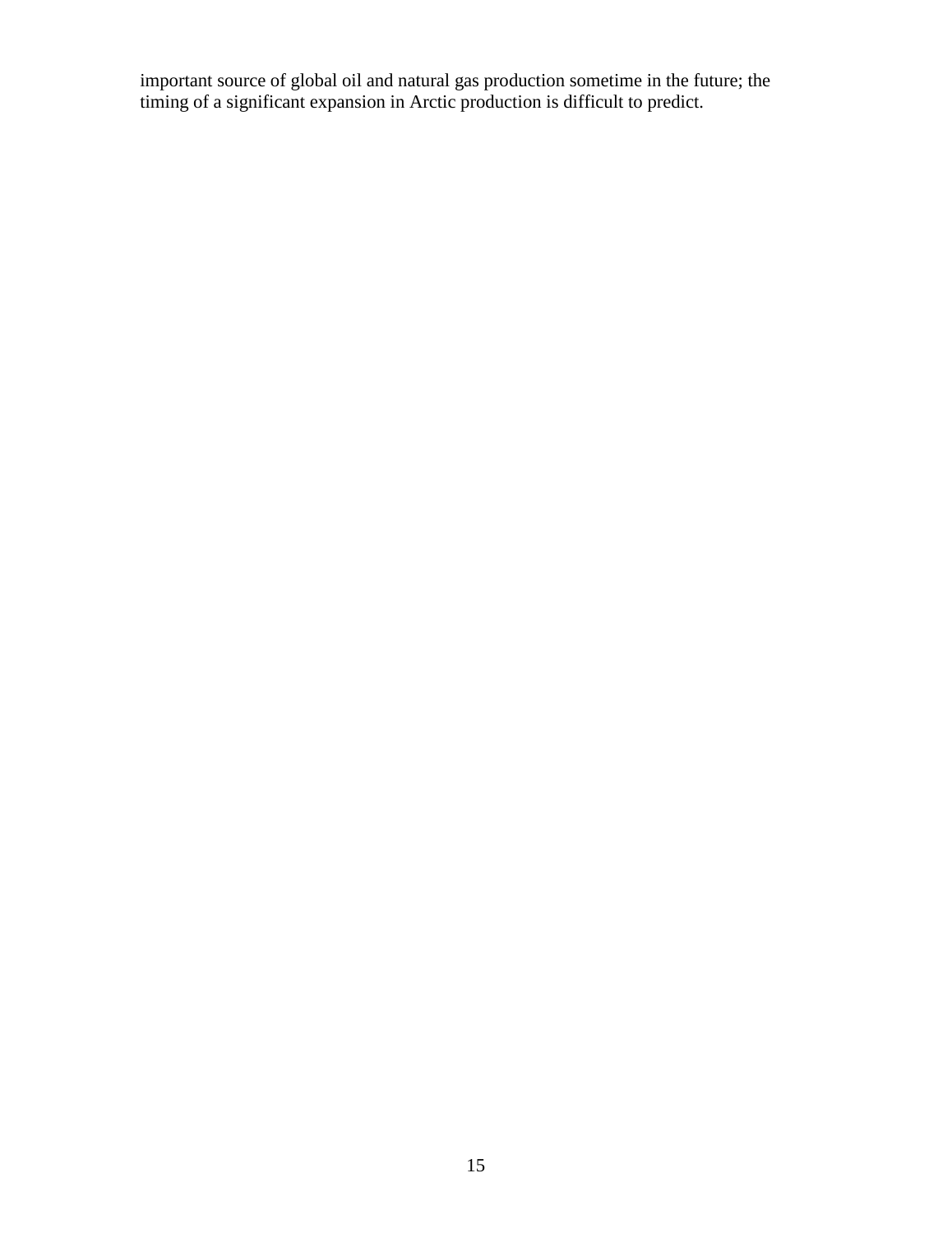important source of global oil and natural gas production sometime in the future; the timing of a significant expansion in Arctic production is difficult to predict.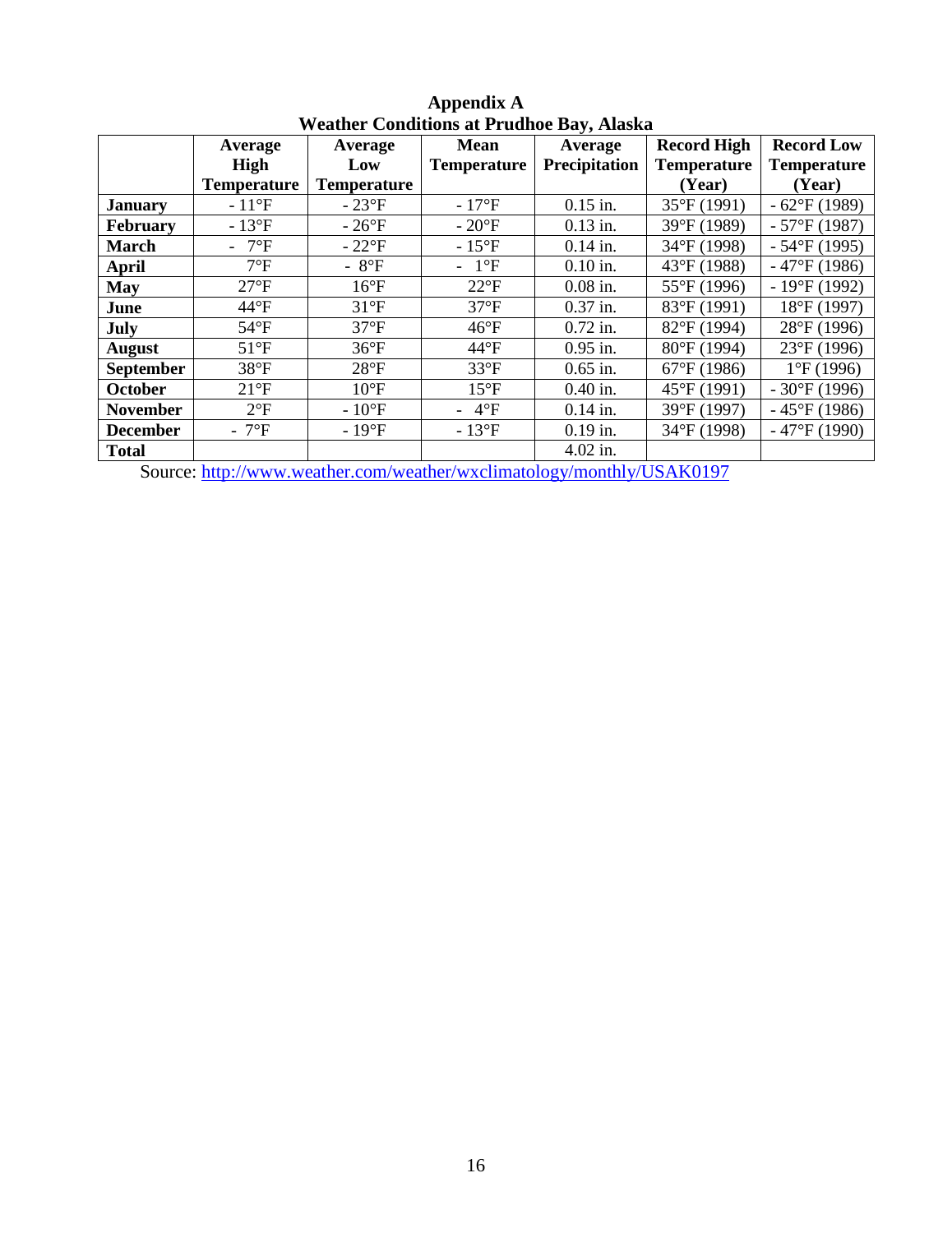| <u> 11 cather Comunitions at 11 duingt Day, Anasha</u> |                    |                      |                    |               |                       |                      |
|--------------------------------------------------------|--------------------|----------------------|--------------------|---------------|-----------------------|----------------------|
|                                                        | Average            | Average              | <b>Mean</b>        | Average       | <b>Record High</b>    | <b>Record Low</b>    |
|                                                        | High               | Low                  | <b>Temperature</b> | Precipitation | <b>Temperature</b>    | <b>Temperature</b>   |
|                                                        | <b>Temperature</b> | <b>Temperature</b>   |                    |               | (Year)                | (Year)               |
| <b>January</b>                                         | $-11^{\circ}F$     | $-23^{\circ}F$       | $-17^{\circ}F$     | $0.15$ in.    | $35^{\circ}F(1991)$   | $-62$ °F (1989)      |
| <b>February</b>                                        | $-13^{\circ}F$     | $-26^{\circ}F$       | $-20^{\circ}F$     | $0.13$ in.    | 39°F (1989)           | $-57^{\circ}F(1987)$ |
| <b>March</b>                                           | - $7^{\circ}F$     | $-22^{\circ}F$       | $-15^{\circ}F$     | $0.14$ in.    | 34°F (1998)           | $-54$ °F (1995)      |
| April                                                  | $7^{\circ}F$       | - $8^{\circ}F$       | $-1$ °F            | $0.10$ in.    | 43°F (1988)           | $-47$ °F (1986)      |
| <b>May</b>                                             | $27^{\circ}F$      | $16^{\circ}F$        | $22^{\circ}F$      | $0.08$ in.    | 55°F (1996)           | $-19^{\circ}F(1992)$ |
| June                                                   | $44^{\circ}F$      | $31^{\circ}F$        | $37^{\circ}F$      | $0.37$ in.    | 83°F (1991)           | 18°F (1997)          |
| July                                                   | $54^{\circ}F$      | $37^{\circ}F$        | $46^{\circ}F$      | $0.72$ in.    | 82°F (1994)           | $28^{\circ}F(1996)$  |
| <b>August</b>                                          | $51^{\circ}F$      | $36^{\circ}F$        | $44^{\circ}F$      | $0.95$ in.    | $80^{\circ}$ F (1994) | $23^{\circ}F(1996)$  |
| <b>September</b>                                       | $38^{\circ}F$      | $28^{\circ}F$        | $33^{\circ}F$      | $0.65$ in.    | $67^{\circ}F(1986)$   | $1^{\circ}F(1996)$   |
| <b>October</b>                                         | $21^{\circ}F$      | $10^{\circ}$ F       | $15^{\circ}F$      | $0.40$ in.    | 45°F (1991)           | $-30^{\circ}F(1996)$ |
| <b>November</b>                                        | $2^{\circ}F$       | $-10$ <sup>o</sup> F | $-4$ °F            | $0.14$ in.    | 39°F (1997)           | $-45^{\circ}F(1986)$ |
| <b>December</b>                                        | - $7^{\circ}F$     | $-19^{\circ}F$       | $-13^{\circ}F$     | $0.19$ in.    | 34°F (1998)           | $-47$ °F (1990)      |
| <b>Total</b>                                           |                    |                      |                    | $4.02$ in.    |                       |                      |

## **Appendix A Weather Conditions at Prudhoe Bay, Alaska**

Source: <http://www.weather.com/weather/wxclimatology/monthly/USAK0197>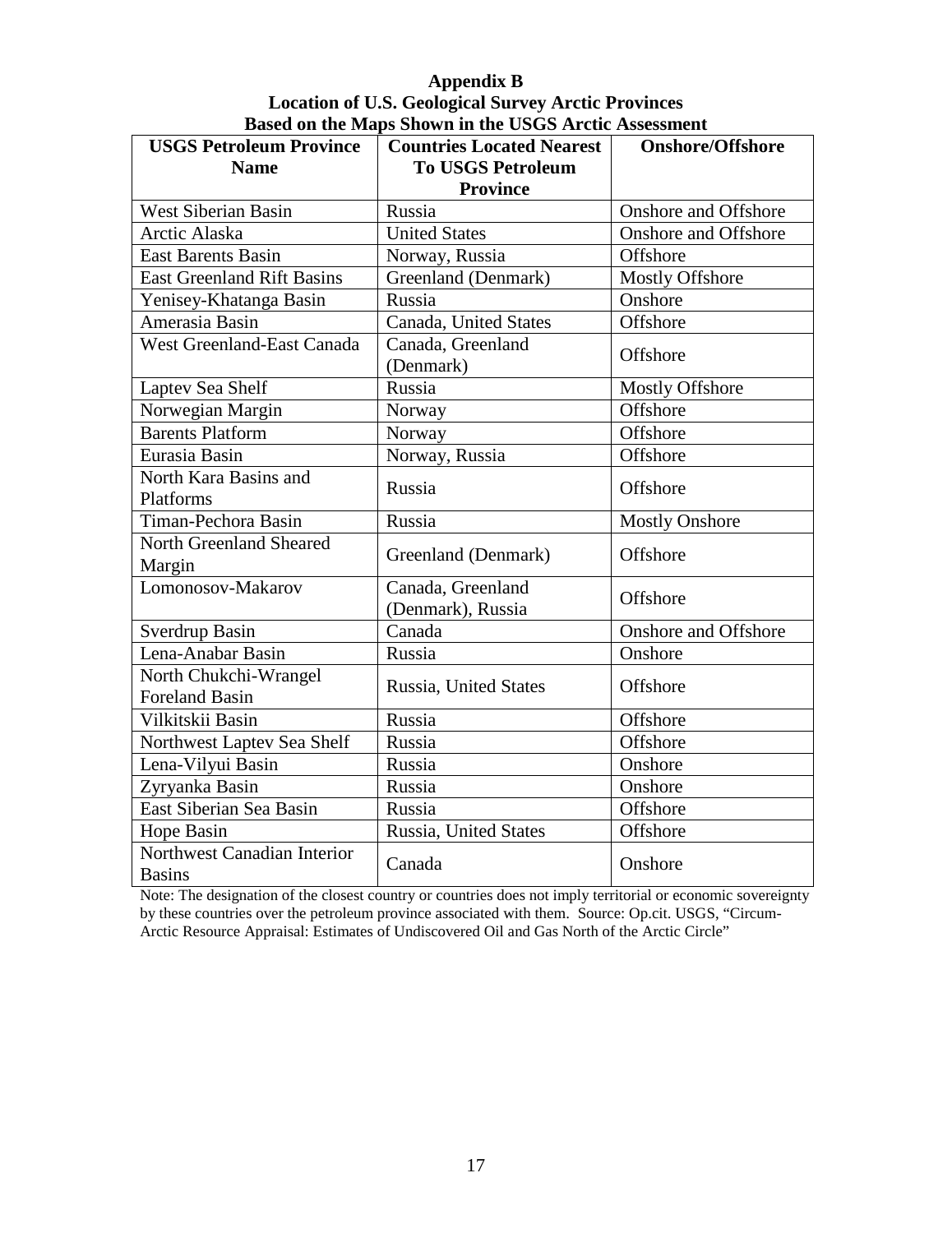# **Appendix B Location of U.S. Geological Survey Arctic Provinces Based on the Maps Shown in the USGS Arctic Assessment**

| <b>USGS Petroleum Province</b>                 | <b>Countries Located Nearest</b>       | <b>Onshore/Offshore</b>     |
|------------------------------------------------|----------------------------------------|-----------------------------|
| <b>Name</b>                                    | <b>To USGS Petroleum</b>               |                             |
|                                                | <b>Province</b>                        |                             |
| <b>West Siberian Basin</b>                     | Russia                                 | <b>Onshore and Offshore</b> |
| Arctic Alaska                                  | <b>United States</b>                   | <b>Onshore and Offshore</b> |
| <b>East Barents Basin</b>                      | Norway, Russia                         | Offshore                    |
| <b>East Greenland Rift Basins</b>              | Greenland (Denmark)                    | <b>Mostly Offshore</b>      |
| Yenisey-Khatanga Basin                         | Russia                                 | Onshore                     |
| Amerasia Basin                                 | Canada, United States                  | Offshore                    |
| West Greenland-East Canada                     | Canada, Greenland<br>(Denmark)         | Offshore                    |
| Laptev Sea Shelf                               | Russia                                 | <b>Mostly Offshore</b>      |
| Norwegian Margin                               | Norway                                 | Offshore                    |
| <b>Barents Platform</b>                        | Norway                                 | Offshore                    |
| Eurasia Basin                                  | Norway, Russia                         | Offshore                    |
| North Kara Basins and<br>Platforms             | Russia                                 | Offshore                    |
| Timan-Pechora Basin                            | Russia                                 | <b>Mostly Onshore</b>       |
| North Greenland Sheared<br>Margin              | Greenland (Denmark)                    | Offshore                    |
| Lomonosov-Makarov                              | Canada, Greenland<br>(Denmark), Russia | Offshore                    |
| Sverdrup Basin                                 | Canada                                 | <b>Onshore</b> and Offshore |
| Lena-Anabar Basin                              | Russia                                 | Onshore                     |
| North Chukchi-Wrangel<br><b>Foreland Basin</b> | Russia, United States                  | Offshore                    |
| Vilkitskii Basin                               | Russia                                 | Offshore                    |
| Northwest Laptev Sea Shelf                     | Russia                                 | Offshore                    |
| Lena-Vilyui Basin                              | Russia                                 | Onshore                     |
| Zyryanka Basin                                 | Russia                                 | Onshore                     |
| East Siberian Sea Basin                        | Russia                                 | Offshore                    |
| Hope Basin                                     | Russia, United States                  | Offshore                    |
| Northwest Canadian Interior<br><b>Basins</b>   | Canada                                 | Onshore                     |

Note: The designation of the closest country or countries does not imply territorial or economic sovereignty by these countries over the petroleum province associated with them. Source: Op.cit. USGS, "Circum-Arctic Resource Appraisal: Estimates of Undiscovered Oil and Gas North of the Arctic Circle"